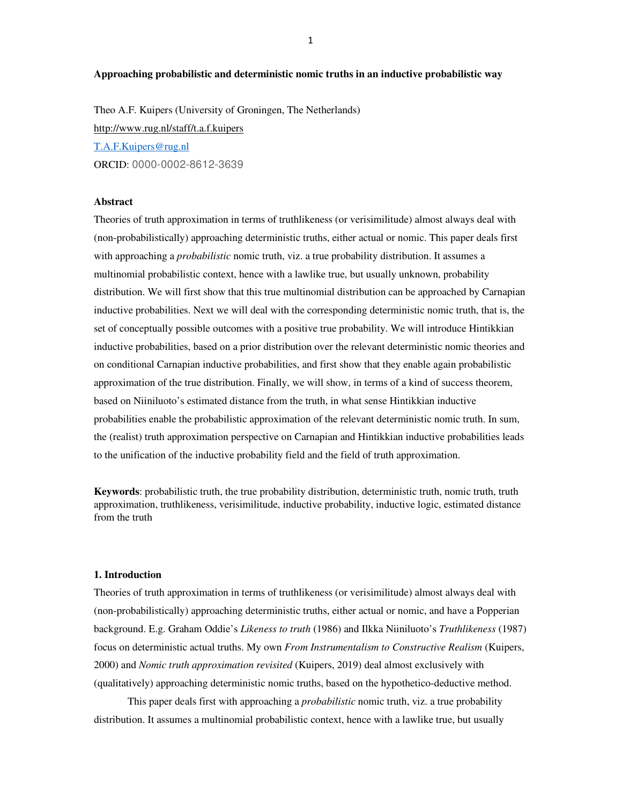#### **Approaching probabilistic and deterministic nomic truths in an inductive probabilistic way**

Theo A.F. Kuipers (University of Groningen, The Netherlands) http://www.rug.nl/staff/t.a.f.kuipers T.A.F.Kuipers@rug.nl ORCID: 0000-0002-8612-3639

# **Abstract**

Theories of truth approximation in terms of truthlikeness (or verisimilitude) almost always deal with (non-probabilistically) approaching deterministic truths, either actual or nomic. This paper deals first with approaching a *probabilistic* nomic truth, viz. a true probability distribution. It assumes a multinomial probabilistic context, hence with a lawlike true, but usually unknown, probability distribution. We will first show that this true multinomial distribution can be approached by Carnapian inductive probabilities. Next we will deal with the corresponding deterministic nomic truth, that is, the set of conceptually possible outcomes with a positive true probability. We will introduce Hintikkian inductive probabilities, based on a prior distribution over the relevant deterministic nomic theories and on conditional Carnapian inductive probabilities, and first show that they enable again probabilistic approximation of the true distribution. Finally, we will show, in terms of a kind of success theorem, based on Niiniluoto's estimated distance from the truth, in what sense Hintikkian inductive probabilities enable the probabilistic approximation of the relevant deterministic nomic truth. In sum, the (realist) truth approximation perspective on Carnapian and Hintikkian inductive probabilities leads to the unification of the inductive probability field and the field of truth approximation.

**Keywords**: probabilistic truth, the true probability distribution, deterministic truth, nomic truth, truth approximation, truthlikeness, verisimilitude, inductive probability, inductive logic, estimated distance from the truth

#### **1. Introduction**

Theories of truth approximation in terms of truthlikeness (or verisimilitude) almost always deal with (non-probabilistically) approaching deterministic truths, either actual or nomic, and have a Popperian background. E.g. Graham Oddie's *Likeness to truth* (1986) and Ilkka Niiniluoto's *Truthlikeness* (1987) focus on deterministic actual truths. My own *From Instrumentalism to Constructive Realism* (Kuipers, 2000) and *Nomic truth approximation revisited* (Kuipers, 2019) deal almost exclusively with (qualitatively) approaching deterministic nomic truths, based on the hypothetico-deductive method.

This paper deals first with approaching a *probabilistic* nomic truth, viz. a true probability distribution. It assumes a multinomial probabilistic context, hence with a lawlike true, but usually

1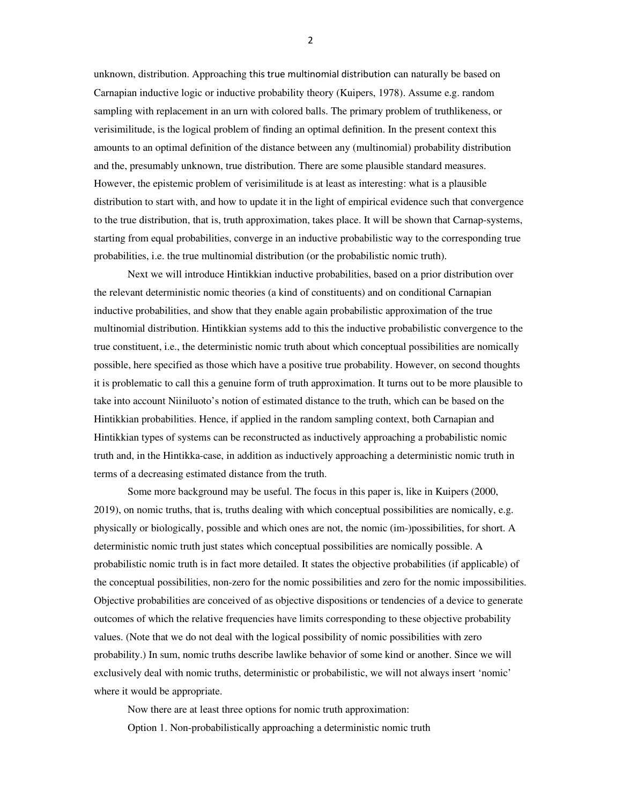unknown, distribution. Approaching this true multinomial distribution can naturally be based on Carnapian inductive logic or inductive probability theory (Kuipers, 1978). Assume e.g. random sampling with replacement in an urn with colored balls. The primary problem of truthlikeness, or verisimilitude, is the logical problem of finding an optimal definition. In the present context this amounts to an optimal definition of the distance between any (multinomial) probability distribution and the, presumably unknown, true distribution. There are some plausible standard measures. However, the epistemic problem of verisimilitude is at least as interesting: what is a plausible distribution to start with, and how to update it in the light of empirical evidence such that convergence to the true distribution, that is, truth approximation, takes place. It will be shown that Carnap-systems, starting from equal probabilities, converge in an inductive probabilistic way to the corresponding true probabilities, i.e. the true multinomial distribution (or the probabilistic nomic truth).

Next we will introduce Hintikkian inductive probabilities, based on a prior distribution over the relevant deterministic nomic theories (a kind of constituents) and on conditional Carnapian inductive probabilities, and show that they enable again probabilistic approximation of the true multinomial distribution. Hintikkian systems add to this the inductive probabilistic convergence to the true constituent, i.e., the deterministic nomic truth about which conceptual possibilities are nomically possible, here specified as those which have a positive true probability. However, on second thoughts it is problematic to call this a genuine form of truth approximation. It turns out to be more plausible to take into account Niiniluoto's notion of estimated distance to the truth, which can be based on the Hintikkian probabilities. Hence, if applied in the random sampling context, both Carnapian and Hintikkian types of systems can be reconstructed as inductively approaching a probabilistic nomic truth and, in the Hintikka-case, in addition as inductively approaching a deterministic nomic truth in terms of a decreasing estimated distance from the truth.

Some more background may be useful. The focus in this paper is, like in Kuipers (2000, 2019), on nomic truths, that is, truths dealing with which conceptual possibilities are nomically, e.g. physically or biologically, possible and which ones are not, the nomic (im-)possibilities, for short. A deterministic nomic truth just states which conceptual possibilities are nomically possible. A probabilistic nomic truth is in fact more detailed. It states the objective probabilities (if applicable) of the conceptual possibilities, non-zero for the nomic possibilities and zero for the nomic impossibilities. Objective probabilities are conceived of as objective dispositions or tendencies of a device to generate outcomes of which the relative frequencies have limits corresponding to these objective probability values. (Note that we do not deal with the logical possibility of nomic possibilities with zero probability.) In sum, nomic truths describe lawlike behavior of some kind or another. Since we will exclusively deal with nomic truths, deterministic or probabilistic, we will not always insert 'nomic' where it would be appropriate.

Now there are at least three options for nomic truth approximation:

Option 1. Non-probabilistically approaching a deterministic nomic truth

2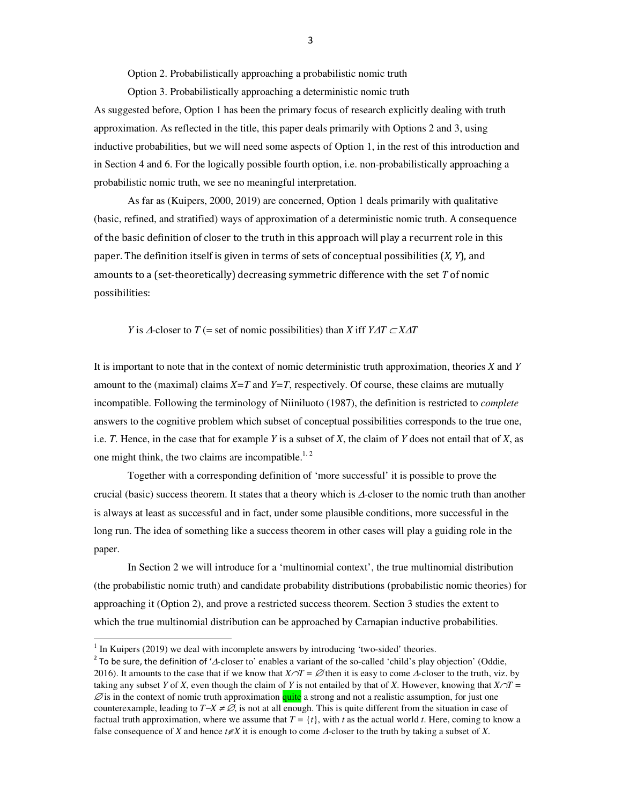Option 2. Probabilistically approaching a probabilistic nomic truth

Option 3. Probabilistically approaching a deterministic nomic truth As suggested before, Option 1 has been the primary focus of research explicitly dealing with truth approximation. As reflected in the title, this paper deals primarily with Options 2 and 3, using inductive probabilities, but we will need some aspects of Option 1, in the rest of this introduction and in Section 4 and 6. For the logically possible fourth option, i.e. non-probabilistically approaching a probabilistic nomic truth, we see no meaningful interpretation.

As far as (Kuipers, 2000, 2019) are concerned, Option 1 deals primarily with qualitative (basic, refined, and stratified) ways of approximation of a deterministic nomic truth. A consequence of the basic definition of closer to the truth in this approach will play a recurrent role in this paper. The definition itself is given in terms of sets of conceptual possibilities  $(X, Y)$ , and amounts to a (set-theoretically) decreasing symmetric difference with the set  $T$  of nomic possibilities:

*Y* is  $\triangle$ -closer to *T* (= set of nomic possibilities) than *X* iff *Y*∆*T* ⊂ *X*∆*T* 

It is important to note that in the context of nomic deterministic truth approximation, theories *X* and *Y* amount to the (maximal) claims  $X=T$  and  $Y=T$ , respectively. Of course, these claims are mutually incompatible. Following the terminology of Niiniluoto (1987), the definition is restricted to *complete*  answers to the cognitive problem which subset of conceptual possibilities corresponds to the true one, i.e. *T*. Hence, in the case that for example *Y* is a subset of *X*, the claim of *Y* does not entail that of *X*, as one might think, the two claims are incompatible.<sup>1.2</sup>

Together with a corresponding definition of 'more successful' it is possible to prove the crucial (basic) success theorem. It states that a theory which is  $\Delta$ -closer to the nomic truth than another is always at least as successful and in fact, under some plausible conditions, more successful in the long run. The idea of something like a success theorem in other cases will play a guiding role in the paper.

In Section 2 we will introduce for a 'multinomial context', the true multinomial distribution (the probabilistic nomic truth) and candidate probability distributions (probabilistic nomic theories) for approaching it (Option 2), and prove a restricted success theorem. Section 3 studies the extent to which the true multinomial distribution can be approached by Carnapian inductive probabilities.

 $\overline{a}$ 

 $<sup>1</sup>$  In Kuipers (2019) we deal with incomplete answers by introducing 'two-sided' theories.</sup>

<sup>&</sup>lt;sup>2</sup> To be sure, the definition of ' $\Delta$ -closer to' enables a variant of the so-called 'child's play objection' (Oddie, 2016). It amounts to the case that if we know that  $X \cap T = \emptyset$  then it is easy to come  $\triangle$ -closer to the truth, viz. by taking any subset *Y* of *X*, even though the claim of *Y* is not entailed by that of *X*. However, knowing that  $X \cap T =$  $\emptyset$  is in the context of nomic truth approximation quite a strong and not a realistic assumption, for just one counterexample, leading to *T*−*X* <sup>≠</sup> ∅, is not at all enough. This is quite different from the situation in case of factual truth approximation, where we assume that  $T = \{t\}$ , with *t* as the actual world *t*. Here, coming to know a false consequence of *X* and hence  $t \notin X$  it is enough to come  $\Delta$ -closer to the truth by taking a subset of *X*.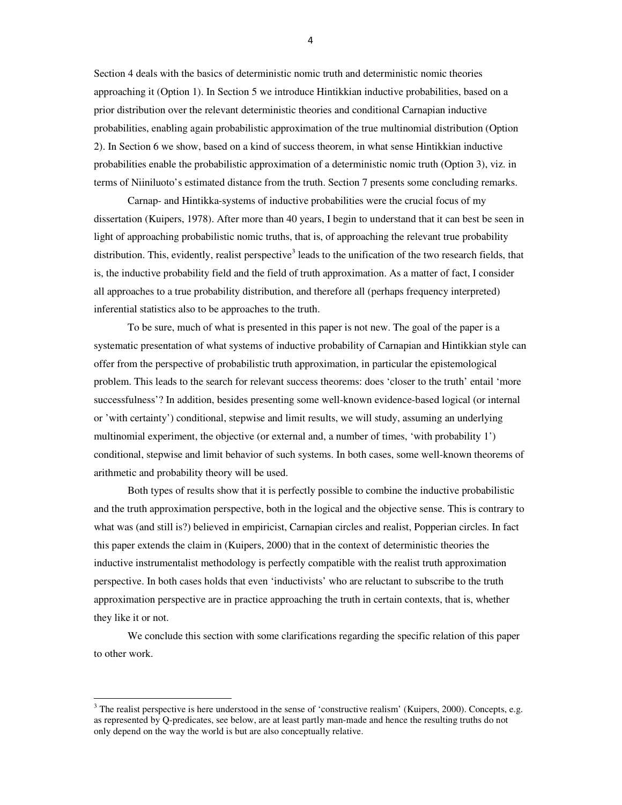Section 4 deals with the basics of deterministic nomic truth and deterministic nomic theories approaching it (Option 1). In Section 5 we introduce Hintikkian inductive probabilities, based on a prior distribution over the relevant deterministic theories and conditional Carnapian inductive probabilities, enabling again probabilistic approximation of the true multinomial distribution (Option 2). In Section 6 we show, based on a kind of success theorem, in what sense Hintikkian inductive probabilities enable the probabilistic approximation of a deterministic nomic truth (Option 3), viz. in terms of Niiniluoto's estimated distance from the truth. Section 7 presents some concluding remarks.

Carnap- and Hintikka-systems of inductive probabilities were the crucial focus of my dissertation (Kuipers, 1978). After more than 40 years, I begin to understand that it can best be seen in light of approaching probabilistic nomic truths, that is, of approaching the relevant true probability distribution. This, evidently, realist perspective<sup>3</sup> leads to the unification of the two research fields, that is, the inductive probability field and the field of truth approximation. As a matter of fact, I consider all approaches to a true probability distribution, and therefore all (perhaps frequency interpreted) inferential statistics also to be approaches to the truth.

To be sure, much of what is presented in this paper is not new. The goal of the paper is a systematic presentation of what systems of inductive probability of Carnapian and Hintikkian style can offer from the perspective of probabilistic truth approximation, in particular the epistemological problem. This leads to the search for relevant success theorems: does 'closer to the truth' entail 'more successfulness'? In addition, besides presenting some well-known evidence-based logical (or internal or 'with certainty') conditional, stepwise and limit results, we will study, assuming an underlying multinomial experiment, the objective (or external and, a number of times, 'with probability 1') conditional, stepwise and limit behavior of such systems. In both cases, some well-known theorems of arithmetic and probability theory will be used.

Both types of results show that it is perfectly possible to combine the inductive probabilistic and the truth approximation perspective, both in the logical and the objective sense. This is contrary to what was (and still is?) believed in empiricist, Carnapian circles and realist, Popperian circles. In fact this paper extends the claim in (Kuipers, 2000) that in the context of deterministic theories the inductive instrumentalist methodology is perfectly compatible with the realist truth approximation perspective. In both cases holds that even 'inductivists' who are reluctant to subscribe to the truth approximation perspective are in practice approaching the truth in certain contexts, that is, whether they like it or not.

We conclude this section with some clarifications regarding the specific relation of this paper to other work.

l,

4

 $3$  The realist perspective is here understood in the sense of 'constructive realism' (Kuipers, 2000). Concepts, e.g. as represented by Q-predicates, see below, are at least partly man-made and hence the resulting truths do not only depend on the way the world is but are also conceptually relative.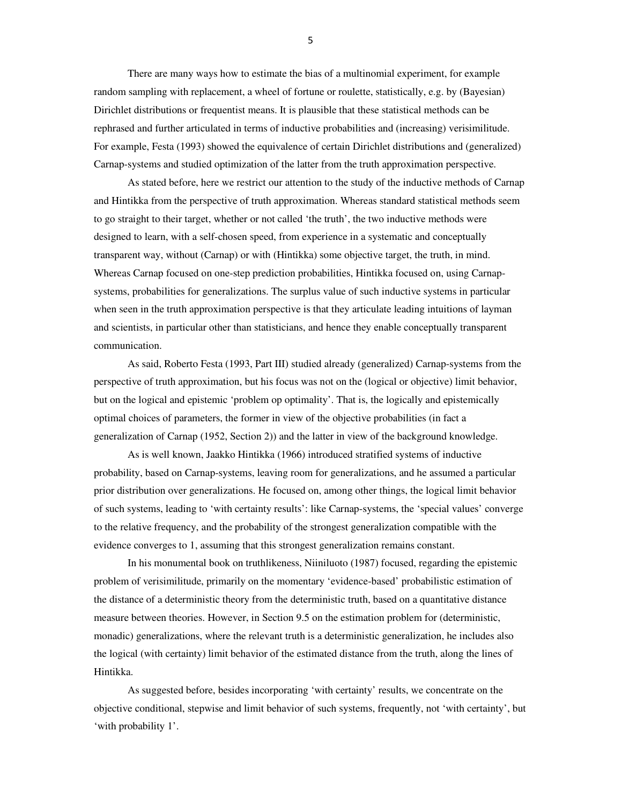There are many ways how to estimate the bias of a multinomial experiment, for example random sampling with replacement, a wheel of fortune or roulette, statistically, e.g. by (Bayesian) Dirichlet distributions or frequentist means. It is plausible that these statistical methods can be rephrased and further articulated in terms of inductive probabilities and (increasing) verisimilitude. For example, Festa (1993) showed the equivalence of certain Dirichlet distributions and (generalized) Carnap-systems and studied optimization of the latter from the truth approximation perspective.

As stated before, here we restrict our attention to the study of the inductive methods of Carnap and Hintikka from the perspective of truth approximation. Whereas standard statistical methods seem to go straight to their target, whether or not called 'the truth', the two inductive methods were designed to learn, with a self-chosen speed, from experience in a systematic and conceptually transparent way, without (Carnap) or with (Hintikka) some objective target, the truth, in mind. Whereas Carnap focused on one-step prediction probabilities, Hintikka focused on, using Carnapsystems, probabilities for generalizations. The surplus value of such inductive systems in particular when seen in the truth approximation perspective is that they articulate leading intuitions of layman and scientists, in particular other than statisticians, and hence they enable conceptually transparent communication.

As said, Roberto Festa (1993, Part III) studied already (generalized) Carnap-systems from the perspective of truth approximation, but his focus was not on the (logical or objective) limit behavior, but on the logical and epistemic 'problem op optimality'. That is, the logically and epistemically optimal choices of parameters, the former in view of the objective probabilities (in fact a generalization of Carnap (1952, Section 2)) and the latter in view of the background knowledge.

As is well known, Jaakko Hintikka (1966) introduced stratified systems of inductive probability, based on Carnap-systems, leaving room for generalizations, and he assumed a particular prior distribution over generalizations. He focused on, among other things, the logical limit behavior of such systems, leading to 'with certainty results': like Carnap-systems, the 'special values' converge to the relative frequency, and the probability of the strongest generalization compatible with the evidence converges to 1, assuming that this strongest generalization remains constant.

In his monumental book on truthlikeness, Niiniluoto (1987) focused, regarding the epistemic problem of verisimilitude, primarily on the momentary 'evidence-based' probabilistic estimation of the distance of a deterministic theory from the deterministic truth, based on a quantitative distance measure between theories. However, in Section 9.5 on the estimation problem for (deterministic, monadic) generalizations, where the relevant truth is a deterministic generalization, he includes also the logical (with certainty) limit behavior of the estimated distance from the truth, along the lines of Hintikka.

As suggested before, besides incorporating 'with certainty' results, we concentrate on the objective conditional, stepwise and limit behavior of such systems, frequently, not 'with certainty', but 'with probability 1'.

5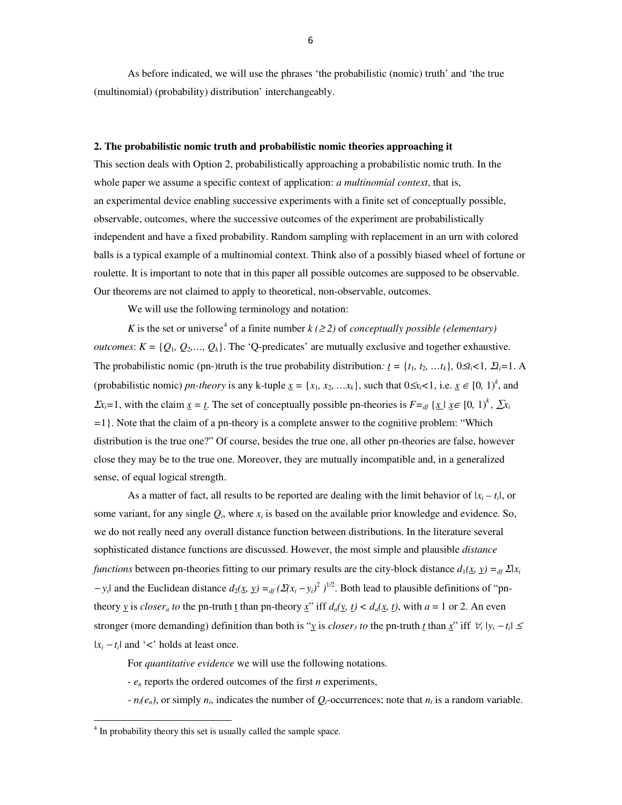As before indicated, we will use the phrases 'the probabilistic (nomic) truth' and 'the true (multinomial) (probability) distribution' interchangeably.

#### **2. The probabilistic nomic truth and probabilistic nomic theories approaching it**

This section deals with Option 2, probabilistically approaching a probabilistic nomic truth. In the whole paper we assume a specific context of application: *a multinomial context*, that is, an experimental device enabling successive experiments with a finite set of conceptually possible, observable, outcomes, where the successive outcomes of the experiment are probabilistically independent and have a fixed probability. Random sampling with replacement in an urn with colored balls is a typical example of a multinomial context. Think also of a possibly biased wheel of fortune or roulette. It is important to note that in this paper all possible outcomes are supposed to be observable. Our theorems are not claimed to apply to theoretical, non-observable, outcomes.

We will use the following terminology and notation:

*K* is the set or universe<sup>4</sup> of a finite number  $k$  ( $\geq$ 2) of *conceptually possible (elementary) outcomes*:  $K = \{Q_1, Q_2, \ldots, Q_k\}$ . The 'Q-predicates' are mutually exclusive and together exhaustive. The probabilistic nomic (pn-)truth is the true probability distribution:  $\underline{t} = \{t_1, t_2, ..., t_k\}$ ,  $0 \le t_i < 1$ ,  $\overline{2}t_i = 1$ . A (probabilistic nomic) *pn-theory* is any k-tuple  $\underline{x} = \{x_1, x_2, \dots, x_k\}$ , such that  $0 \le x_i < 1$ , i.e.  $\underline{x} \in [0, 1)^k$ , and  $\sum x_i = 1$ , with the claim  $\sum x_i = t$ . The set of conceptually possible pn-theories is  $F = \int_a^t \left\{ x \mid x \in [0, 1)^k \right\}$ ,  $\sum x_i = \int_a^t f(x_i, x_i) dx_i$ *=*1}. Note that the claim of a pn-theory is a complete answer to the cognitive problem: "Which distribution is the true one?" Of course, besides the true one, all other pn-theories are false, however close they may be to the true one. Moreover, they are mutually incompatible and, in a generalized sense, of equal logical strength.

As a matter of fact, all results to be reported are dealing with the limit behavior of  $|x_i - t_i|$ , or some variant, for any single  $Q_i$ , where  $x_i$  is based on the available prior knowledge and evidence. So, we do not really need any overall distance function between distributions. In the literature several sophisticated distance functions are discussed. However, the most simple and plausible *distance functions* between pn-theories fitting to our primary results are the city-block distance  $d_1(\underline{x}, \underline{y}) =_{df} \Delta x_i$  $-y_i$  and the Euclidean distance  $d_2(x, y) =_{df} (Σ(x_i - y_i)^2)^{1/2}$ . Both lead to plausible definitions of "pntheory *y* is *closer<sub>a</sub>* to the pn-truth *t* than pn-theory *x*" iff  $d_a(y, t) < d_a(x, t)$ , with  $a = 1$  or 2. An even stronger (more demanding) definition than both is "*y* is *closer<sub>3</sub>* to the pn-truth <u>t</u> than  $\underline{x}$ " iff  $\forall$ <sub>i</sub> |  $y$ <sub>i</sub> − t<sub>i</sub>| ≤  $|x_i - t_i|$  and '*<*' holds at least once.

For *quantitative evidence* we will use the following notations.

- *e<sup>n</sup>* reports the ordered outcomes of the first *n* experiments,

 $- n_i(e_n)$ , or simply  $n_i$ , indicates the number of  $Q_i$ -occurrences; note that  $n_i$  is a random variable.

l,

<sup>&</sup>lt;sup>4</sup> In probability theory this set is usually called the sample space.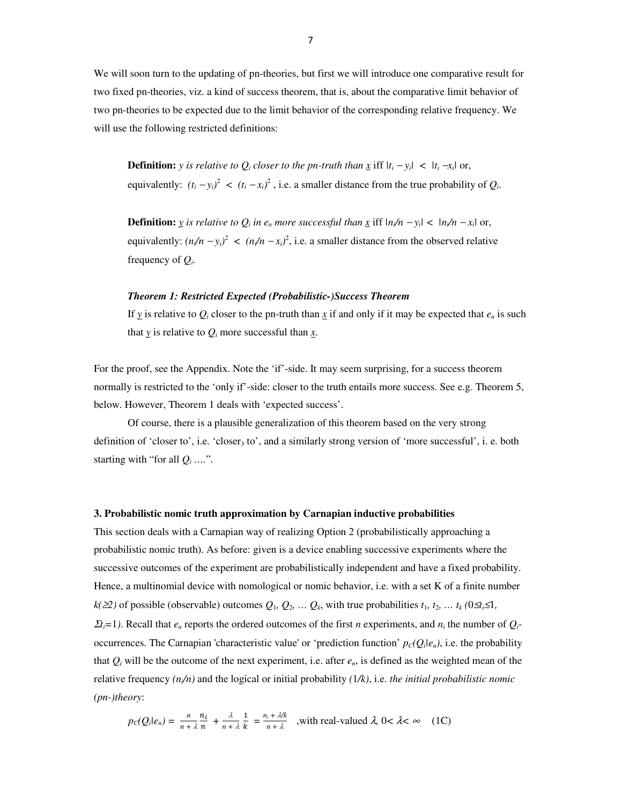We will soon turn to the updating of pn-theories, but first we will introduce one comparative result for two fixed pn-theories, viz. a kind of success theorem, that is, about the comparative limit behavior of two pn-theories to be expected due to the limit behavior of the corresponding relative frequency. We will use the following restricted definitions:

**Definition:** *y is relative to Q<sub><i>i*</sub> closer to the pn-truth than  $\underline{x}$  iff  $|t_i - y_i| < |t_i - x_i|$  or, equivalently:  $(t_i - y_i)^2 < (t_i - x_i)^2$ , i.e. a smaller distance from the true probability of  $Q_i$ .

**Definition:**  $\gamma$  is relative to  $Q_i$  in  $e_n$  more successful than  $\chi$  iff  $|n/n - \gamma_i| < |n/n - \chi_i|$  or, equivalently:  $(n/n - y_i)^2 < (n/n - x_i)^2$ , i.e. a smaller distance from the observed relative frequency of *Q<sup>i</sup>* .

#### *Theorem 1: Restricted Expected (Probabilistic-)Success Theorem*

If  $\gamma$  is relative to  $Q_i$  closer to the pn-truth than  $\chi$  if and only if it may be expected that  $e_n$  is such that  $\gamma$  is relative to  $Q_i$  more successful than  $\chi$ .

For the proof, see the Appendix. Note the 'if'-side. It may seem surprising, for a success theorem normally is restricted to the 'only if'-side: closer to the truth entails more success. See e.g. Theorem 5, below. However, Theorem 1 deals with 'expected success'.

Of course, there is a plausible generalization of this theorem based on the very strong definition of 'closer to', i.e. 'closer<sub>3</sub> to', and a similarly strong version of 'more successful', i. e. both starting with "for all  $Q_i$  ....".

#### **3. Probabilistic nomic truth approximation by Carnapian inductive probabilities**

This section deals with a Carnapian way of realizing Option 2 (probabilistically approaching a probabilistic nomic truth). As before: given is a device enabling successive experiments where the successive outcomes of the experiment are probabilistically independent and have a fixed probability. Hence, a multinomial device with nomological or nomic behavior, i.e. with a set K of a finite number *k*( $≥$ *)* of possible (observable) outcomes  $Q_1, Q_2, \ldots Q_k$ , with true probabilities  $t_1, t_2, \ldots t_k$  (0≤*t*<sub>i</sub>≤1*,*  $\Sigma_i$ =1). Recall that  $e_n$  reports the ordered outcomes of the first *n* experiments, and  $n_i$  the number of  $Q_i$ occurrences. The Carnapian 'characteristic value' or 'prediction function'  $p_c(Q_i|e_n)$ , i.e. the probability that  $Q_i$  will be the outcome of the next experiment, i.e. after  $e_n$ , is defined as the weighted mean of the relative frequency  $(n/n)$  and the logical or initial probability  $(1/k)$ , i.e. *the initial probabilistic nomic (pn-)theory*:

$$
p_C(Q_i|e_n) = \frac{n}{n + \lambda} \frac{n_i}{n} + \frac{\lambda}{n + \lambda} \frac{1}{k} = \frac{n_i + \lambda/k}{n + \lambda}
$$
, with real-valued  $\lambda$ ,  $0 < \lambda < \infty$  (1C)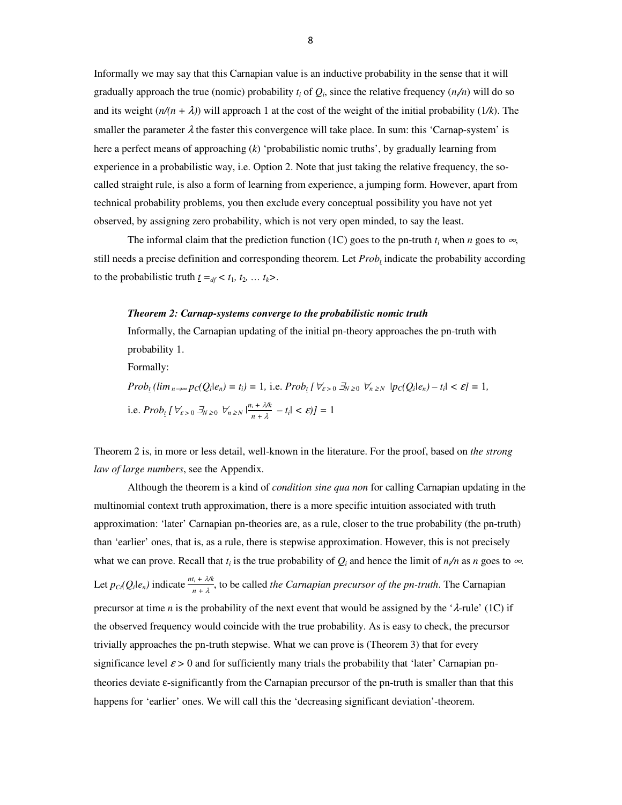Informally we may say that this Carnapian value is an inductive probability in the sense that it will gradually approach the true (nomic) probability  $t_i$  of  $Q_i$ , since the relative frequency  $(n/n)$  will do so and its weight  $(n/(n + \lambda))$  will approach 1 at the cost of the weight of the initial probability (1/k). The smaller the parameter  $\lambda$  the faster this convergence will take place. In sum: this 'Carnap-system' is here a perfect means of approaching (*k*) 'probabilistic nomic truths', by gradually learning from experience in a probabilistic way, i.e. Option 2. Note that just taking the relative frequency, the socalled straight rule, is also a form of learning from experience, a jumping form. However, apart from technical probability problems, you then exclude every conceptual possibility you have not yet observed, by assigning zero probability, which is not very open minded, to say the least.

The informal claim that the prediction function (1C) goes to the pn-truth  $t_i$  when *n* goes to  $\infty$ , still needs a precise definition and corresponding theorem. Let *Prob<sup>t</sup>* indicate the probability according to the probabilistic truth  $\underline{t} = d\underline{t} < t_1, t_2, \ldots, t_k$ >.

#### *Theorem 2: Carnap-systems converge to the probabilistic nomic truth*

Informally, the Carnapian updating of the initial pn-theory approaches the pn-truth with probability 1. Formally:

 $Prob_t (lim_{n\to\infty} p_C(Q_i|e_n) = t_i) = 1$ , i.e.  $Prob_t [\forall_{\varepsilon>0} \exists_{N\geq 0} \forall_{n\geq N} |p_C(Q_i|e_n) - t_i| < \varepsilon] = 1$ , i.e.  $Prob_t$   $\left[ \forall \varepsilon > 0 \right] \xrightarrow{\mathcal{J}_N} \sum_{n=1}^n \left| \frac{n_i + \lambda}{n_i + \lambda} \right|$  $\frac{i + 2\kappa}{n + \lambda} - t_i$  | <  $\varepsilon$ )] = 1

Theorem 2 is, in more or less detail, well-known in the literature. For the proof, based on *the strong law of large numbers*, see the Appendix.

Although the theorem is a kind of *condition sine qua non* for calling Carnapian updating in the multinomial context truth approximation, there is a more specific intuition associated with truth approximation: 'later' Carnapian pn-theories are, as a rule, closer to the true probability (the pn-truth) than 'earlier' ones, that is, as a rule, there is stepwise approximation. However, this is not precisely what we can prove. Recall that  $t_i$  is the true probability of  $Q_i$  and hence the limit of  $n/n$  as  $n$  goes to  $\infty$ . Let  $p_{\text{Ct}}(Q_i|e_n)$  indicate  $\frac{n t_i + \lambda / k}{n_i + \lambda}$  $\frac{n_i + \lambda}{n_i + \lambda}$ , to be called *the Carnapian precursor of the pn-truth*. The Carnapian precursor at time *n* is the probability of the next event that would be assigned by the ' $\lambda$ -rule' (1C) if the observed frequency would coincide with the true probability. As is easy to check, the precursor trivially approaches the pn-truth stepwise. What we can prove is (Theorem 3) that for every significance level  $\varepsilon > 0$  and for sufficiently many trials the probability that 'later' Carnapian pntheories deviate ε-significantly from the Carnapian precursor of the pn-truth is smaller than that this happens for 'earlier' ones. We will call this the 'decreasing significant deviation'-theorem.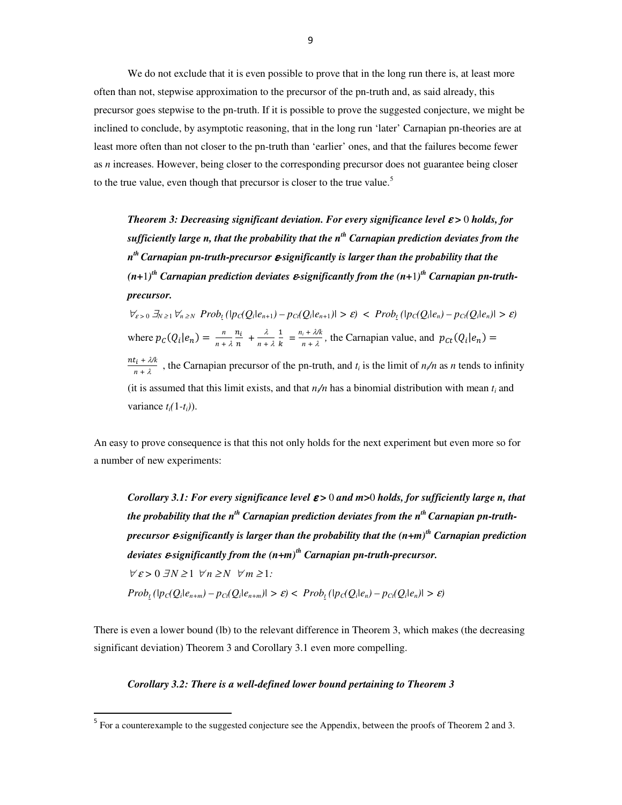We do not exclude that it is even possible to prove that in the long run there is, at least more often than not, stepwise approximation to the precursor of the pn-truth and, as said already, this precursor goes stepwise to the pn-truth. If it is possible to prove the suggested conjecture, we might be inclined to conclude, by asymptotic reasoning, that in the long run 'later' Carnapian pn-theories are at least more often than not closer to the pn-truth than 'earlier' ones, and that the failures become fewer as *n* increases. However, being closer to the corresponding precursor does not guarantee being closer to the true value, even though that precursor is closer to the true value.<sup>5</sup>

*Theorem 3: Decreasing significant deviation. For every significance level* ε *>* 0 *holds, for sufficiently large n, that the probability that the nth Carnapian prediction deviates from the n th Carnapian pn-truth-precursor* ε*-significantly is larger than the probability that the*   $(n+1)$ <sup>th</sup> Carnapian prediction deviates  $\boldsymbol{\varepsilon}$ -significantly from the  $(n+1)$ <sup>th</sup> Carnapian pn-truth*precursor.* 

 $\forall_{\varepsilon>0} \exists_{N\geq 1} \forall_{n\geq N} Prob_{t}(|p_{C}(Q_{i}|e_{n+1}) - p_{C_{i}}(Q_{i}|e_{n+1})| > \varepsilon) < Prob_{t}(|p_{C}(Q_{i}|e_{n}) - p_{C_{i}}(Q_{i}|e_{n})| > \varepsilon)$ where  $p_C(Q_i|e_n) = \frac{n}{n+1}$  $n + \lambda$  $\frac{n_i}{n}$  +  $\frac{\lambda}{n + \lambda}$  $\overline{1}$  $\frac{1}{k} = \frac{n_i + \lambda/k}{n + \lambda}$  $\frac{n+2\pi}{n+2}$ , the Carnapian value, and  $p_{ct}(Q_i|e_n) =$  $nt_i + \lambda/k$  $\frac{h_1 + h_2}{n + \lambda}$ , the Carnapian precursor of the pn-truth, and  $t_i$  is the limit of  $n_i/n$  as *n* tends to infinity (it is assumed that this limit exists, and that  $n/n$  has a binomial distribution with mean  $t_i$  and variance  $t_i(1-t_i)$ .

An easy to prove consequence is that this not only holds for the next experiment but even more so for a number of new experiments:

*Corollary 3.1: For every significance level* ε *>* 0 *and m>*0 *holds, for sufficiently large n, that the probability that the nth Carnapian prediction deviates from the nth Carnapian pn-truthprecursor* ε*-significantly is larger than the probability that the (n+m)th Carnapian prediction deviates* ε*-significantly from the (n+m)th Carnapian pn-truth-precursor.*   $\forall \varepsilon > 0 \ \exists N \geq 1 \ \forall n \geq N \ \forall m \geq 1$ :  $Prob_{t}(|p_C(Q_i|e_{n+m}) - p_C(Q_i|e_{n+m})| > \varepsilon) < Prob_{t}(|p_C(Q_i|e_n) - p_C(Q_i|e_n)| > \varepsilon)$ 

There is even a lower bound (lb) to the relevant difference in Theorem 3, which makes (the decreasing significant deviation) Theorem 3 and Corollary 3.1 even more compelling.

# *Corollary 3.2: There is a well-defined lower bound pertaining to Theorem 3*

<u>.</u>

<sup>&</sup>lt;sup>5</sup> For a counterexample to the suggested conjecture see the Appendix, between the proofs of Theorem 2 and 3.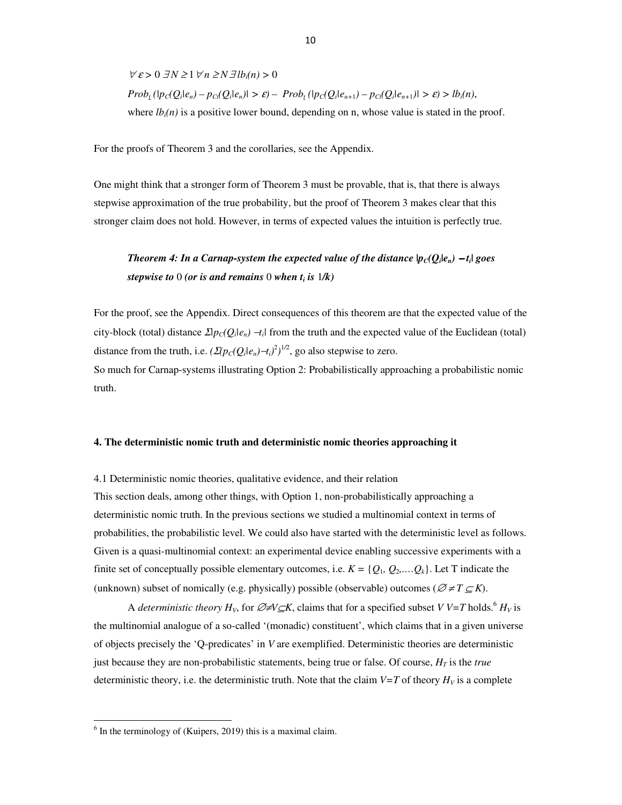$$
\forall \varepsilon > 0 \ \exists N \ge 1 \ \forall n \ge N \ \exists lb_i(n) > 0
$$
\n
$$
Prob_{\varepsilon}(|p_C(Q_i|e_n) - p_C(Q_i|e_n)|) > \varepsilon) - Prob_{\varepsilon}(|p_C(Q_i|e_{n+1}) - p_C(Q_i|e_{n+1})|) > \varepsilon) > lb_i(n),
$$
\nwhere  $lb_i(n)$  is a positive lower bound, depending on n, whose value is stated in the proof.

For the proofs of Theorem 3 and the corollaries, see the Appendix.

One might think that a stronger form of Theorem 3 must be provable, that is, that there is always stepwise approximation of the true probability, but the proof of Theorem 3 makes clear that this stronger claim does not hold. However, in terms of expected values the intuition is perfectly true.

# *Theorem 4: In a Carnap-system the expected value of the distance*  $|p_C(Q_i|e_n) - t_i|$  *goes stepwise to* 0 *(or is and remains* 0 *when t<sup>i</sup> is* 1*/k)*

For the proof, see the Appendix. Direct consequences of this theorem are that the expected value of the city-block (total) distance  $\mathcal{D}p_C(Q_i|e_n) - t_i$  from the truth and the expected value of the Euclidean (total) distance from the truth, i.e.  $(\Sigma(p_C(Q_i|e_n)-t_i)^2)^{1/2}$ , go also stepwise to zero. So much for Carnap-systems illustrating Option 2: Probabilistically approaching a probabilistic nomic

# **4. The deterministic nomic truth and deterministic nomic theories approaching it**

## 4.1 Deterministic nomic theories, qualitative evidence, and their relation

truth.

l,

This section deals, among other things, with Option 1, non-probabilistically approaching a deterministic nomic truth. In the previous sections we studied a multinomial context in terms of probabilities, the probabilistic level. We could also have started with the deterministic level as follows. Given is a quasi-multinomial context: an experimental device enabling successive experiments with a finite set of conceptually possible elementary outcomes, i.e.  $K = \{Q_1, Q_2, \ldots, Q_k\}$ . Let T indicate the (unknown) subset of nomically (e.g. physically) possible (observable) outcomes ( $\mathcal{O} \neq T \subseteq K$ ).

A *deterministic theory*  $H_V$ , for  $\mathcal{O}\neq V \subseteq K$ , claims that for a specified subset *V V=T* holds.<sup>6</sup>  $H_V$  is the multinomial analogue of a so-called '(monadic) constituent', which claims that in a given universe of objects precisely the 'Q-predicates' in *V* are exemplified. Deterministic theories are deterministic just because they are non-probabilistic statements, being true or false. Of course, *HT* is the *true* deterministic theory, i.e. the deterministic truth. Note that the claim  $V=T$  of theory  $H_V$  is a complete

<sup>&</sup>lt;sup>6</sup> In the terminology of (Kuipers, 2019) this is a maximal claim.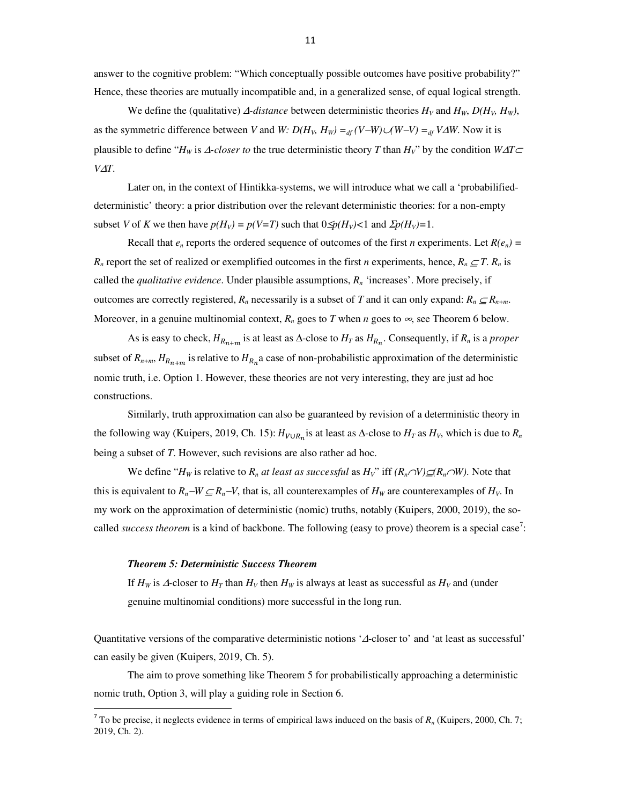answer to the cognitive problem: "Which conceptually possible outcomes have positive probability?" Hence, these theories are mutually incompatible and, in a generalized sense, of equal logical strength.

We define the (qualitative)  $\Delta$ -distance between deterministic theories  $H_V$  and  $H_W$ ,  $D(H_V, H_W)$ , as the symmetric difference between *V* and *W:*  $D(H_V, H_W) =_{df}(V-W) \cup (W-V) =_{df} V \Delta W$ . Now it is plausible to define "*H<sub>W</sub>* is  $\triangle$ -closer to the true deterministic theory *T* than  $H_V$ " by the condition  $W\triangle T\square$ *V*∆*T*.

 Later on, in the context of Hintikka-systems, we will introduce what we call a 'probabilifieddeterministic' theory: a prior distribution over the relevant deterministic theories: for a non-empty subset *V* of *K* we then have  $p(H_v) = p(V = T)$  such that  $0 \leq p(H_v) < 1$  and  $\sum p(H_v) = 1$ .

Recall that  $e_n$  reports the ordered sequence of outcomes of the first *n* experiments. Let  $R(e_n)$  = *R<sub>n</sub>* report the set of realized or exemplified outcomes in the first *n* experiments, hence,  $R_n \subseteq T$ .  $R_n$  is called the *qualitative evidence*. Under plausible assumptions, *Rn* 'increases'. More precisely, if outcomes are correctly registered,  $R_n$  necessarily is a subset of *T* and it can only expand:  $R_n \subseteq R_{n+m}$ . Moreover, in a genuine multinomial context,  $R_n$  goes to *T* when *n* goes to  $\infty$ , see Theorem 6 below.

As is easy to check,  $H_{R_{n+m}}$  is at least as  $\Delta$ -close to  $H_T$  as  $H_{R_n}$ . Consequently, if  $R_n$  is a *proper* subset of  $R_{n+m}$ ,  $H_{R_{n+m}}$  is relative to  $H_{R_n}$  a case of non-probabilistic approximation of the deterministic nomic truth, i.e. Option 1. However, these theories are not very interesting, they are just ad hoc constructions.

Similarly, truth approximation can also be guaranteed by revision of a deterministic theory in the following way (Kuipers, 2019, Ch. 15):  $H_{V \cup R_n}$  is at least as  $\Delta$ -close to  $H_T$  as  $H_V$ , which is due to  $R_n$ being a subset of *T*. However, such revisions are also rather ad hoc.

We define "*H<sub>W</sub>* is relative to  $R_n$  *at least as successful* as  $H_V$ " iff  $(R_n \cap V) \subseteq (R_n \cap W)$ . Note that this is equivalent to  $R_n$ −*W* ⊆ $R_n$ −*V*, that is, all counterexamples of  $H_W$  are counterexamples of  $H_V$ . In my work on the approximation of deterministic (nomic) truths, notably (Kuipers, 2000, 2019), the socalled *success theorem* is a kind of backbone. The following (easy to prove) theorem is a special case<sup>7</sup>:

## *Theorem 5: Deterministic Success Theorem*

 $\overline{a}$ 

If  $H_W$  is  $\Delta$ -closer to  $H_T$  than  $H_V$  then  $H_W$  is always at least as successful as  $H_V$  and (under genuine multinomial conditions) more successful in the long run.

Quantitative versions of the comparative deterministic notions '∆-closer to' and 'at least as successful' can easily be given (Kuipers, 2019, Ch. 5).

The aim to prove something like Theorem 5 for probabilistically approaching a deterministic nomic truth, Option 3, will play a guiding role in Section 6.

<sup>&</sup>lt;sup>7</sup> To be precise, it neglects evidence in terms of empirical laws induced on the basis of  $R_n$  (Kuipers, 2000, Ch. 7; 2019, Ch. 2).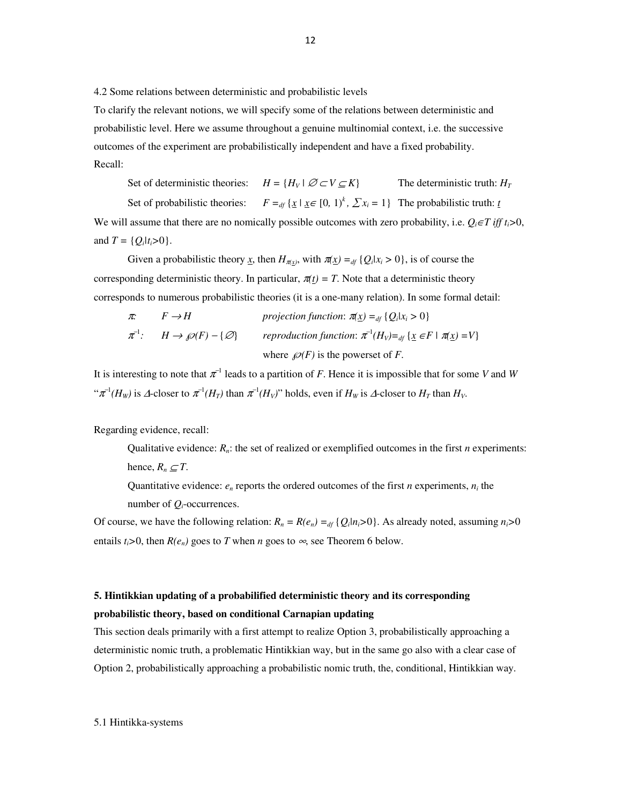4.2 Some relations between deterministic and probabilistic levels

To clarify the relevant notions, we will specify some of the relations between deterministic and probabilistic level. Here we assume throughout a genuine multinomial context, i.e. the successive outcomes of the experiment are probabilistically independent and have a fixed probability. Recall:

Set of deterministic theories:  $H = {H_V \mid \mathcal{O} \subset V \subseteq K}$  The deterministic truth:  $H_T$ Set of probabilistic theories:  $F =_{df} \{ \underline{x} \mid \underline{x} \in [0, 1)^k, \sum x_i = 1 \}$  The probabilistic truth: <u>*t*</u> We will assume that there are no nomically possible outcomes with zero probability, i.e.  $Q_i \in T$  *iff t*<sub>*i*</sub>>0, and  $T = \{Q_i | t_i > 0\}.$ 

Given a probabilistic theory <u>x</u>, then  $H_{\pi(x)}$ , with  $\pi(x) =_{df} \{Q_i | x_i > 0\}$ , is of course the corresponding deterministic theory. In particular,  $\pi(t) = T$ . Note that a deterministic theory corresponds to numerous probabilistic theories (it is a one-many relation). In some formal detail:

$$
\pi: \quad F \to H \quad \text{projection function: } \pi(\underline{x}) =_{df} \{Q_i | x_i > 0\} \\
\pi^{-1}: \quad H \to \mathcal{P}(F) - \{\varnothing\} \quad \text{reproduction function: } \pi^{-1}(H_V) =_{df} \{ \underline{x} \in F \mid \pi(\underline{x}) = V \} \\
\text{where } \mathcal{P}(F) \text{ is the powerset of } F.
$$

It is interesting to note that  $\pi^{-1}$  leads to a partition of *F*. Hence it is impossible that for some *V* and *W* " $\pi^{-1}(H_W)$  is  $\Delta$ -closer to  $\pi^{-1}(H_T)$  than  $\pi^{-1}(H_V)$ " holds, even if  $H_W$  is  $\Delta$ -closer to  $H_T$  than  $H_V$ .

Regarding evidence, recall:

Qualitative evidence:  $R_n$ : the set of realized or exemplified outcomes in the first *n* experiments: hence,  $R_n \subset T$ .

Quantitative evidence:  $e_n$  reports the ordered outcomes of the first *n* experiments,  $n_i$  the number of *Qi*-occurrences.

Of course, we have the following relation:  $R_n = R(e_n) =_{df} \{Q_i | n_i > 0\}$ . As already noted, assuming  $n_i > 0$ entails  $t_i > 0$ , then  $R(e_n)$  goes to *T* when *n* goes to  $\infty$ , see Theorem 6 below.

# **5. Hintikkian updating of a probabilified deterministic theory and its corresponding probabilistic theory, based on conditional Carnapian updating**

This section deals primarily with a first attempt to realize Option 3, probabilistically approaching a deterministic nomic truth, a problematic Hintikkian way, but in the same go also with a clear case of Option 2, probabilistically approaching a probabilistic nomic truth, the, conditional, Hintikkian way.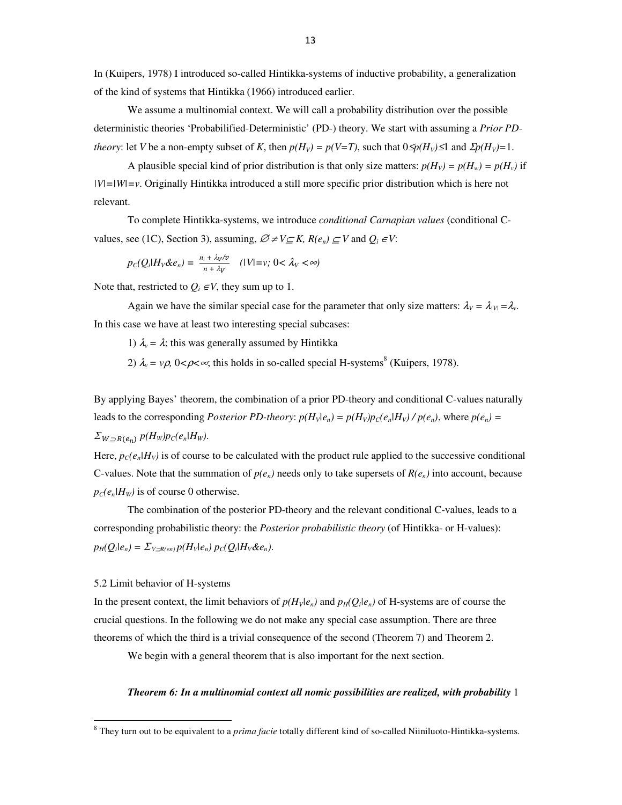In (Kuipers, 1978) I introduced so-called Hintikka-systems of inductive probability, a generalization of the kind of systems that Hintikka (1966) introduced earlier.

We assume a multinomial context. We will call a probability distribution over the possible deterministic theories 'Probabilified-Deterministic' (PD-) theory. We start with assuming a *Prior PDtheory*: let *V* be a non-empty subset of *K*, then  $p(H_v) = p(V = T)$ , such that  $0 \leq p(H_v) \leq 1$  and  $\sum p(H_v) = 1$ .

A plausible special kind of prior distribution is that only size matters:  $p(H_v) = p(H_v) = p(H_v)$  if *|V|=|W|=v*. Originally Hintikka introduced a still more specific prior distribution which is here not relevant.

To complete Hintikka-systems, we introduce *conditional Carnapian values* (conditional Cvalues, see (1C), Section 3), assuming,  $\mathcal{O} \neq V \subseteq K$ ,  $R(e_n) \subseteq V$  and  $Q_i \in V$ :

$$
p_C(Q_i|H_V\&e_n)=\frac{n_i+\lambda_V/v}{n+\lambda_V}\quad (|V|=v;\;0<\lambda_V<\infty)
$$

Note that, restricted to  $Q_i \in V$ , they sum up to 1.

Again we have the similar special case for the parameter that only size matters:  $\lambda_V = \lambda_{V} = \lambda_V$ . In this case we have at least two interesting special subcases:

1)  $\lambda_v = \lambda$ ; this was generally assumed by Hintikka

2)  $\lambda_v = v\rho$ ,  $0 < \rho < \infty$ , this holds in so-called special H-systems<sup>8</sup> (Kuipers, 1978).

By applying Bayes' theorem, the combination of a prior PD-theory and conditional C-values naturally leads to the corresponding *Posterior PD-theory:*  $p(H_v|e_n) = p(H_v)p_C(e_n|H_v) / p(e_n)$ , where  $p(e_n) =$  $\sum_{W \supseteq R(e_n)} p(H_w)p_C(e_n|H_w)$ .

Here,  $p_C(e_n|H_V)$  is of course to be calculated with the product rule applied to the successive conditional C-values. Note that the summation of  $p(e_n)$  needs only to take supersets of  $R(e_n)$  into account, because  $p_C(e_n|H_W)$  is of course 0 otherwise.

The combination of the posterior PD-theory and the relevant conditional C-values, leads to a corresponding probabilistic theory: the *Posterior probabilistic theory* (of Hintikka- or H-values):  $p_H(Q_i|e_n) = \sum_{V \supseteq R(en)} p(H_V|e_n) p_C(Q_i|H_V \& e_n)$ .

#### 5.2 Limit behavior of H-systems

In the present context, the limit behaviors of  $p(H_v|e_n)$  and  $p_H(Q_i|e_n)$  of H-systems are of course the crucial questions. In the following we do not make any special case assumption. There are three theorems of which the third is a trivial consequence of the second (Theorem 7) and Theorem 2.

We begin with a general theorem that is also important for the next section.

#### *Theorem 6: In a multinomial context all nomic possibilities are realized, with probability* 1

 8 They turn out to be equivalent to a *prima facie* totally different kind of so-called Niiniluoto-Hintikka-systems.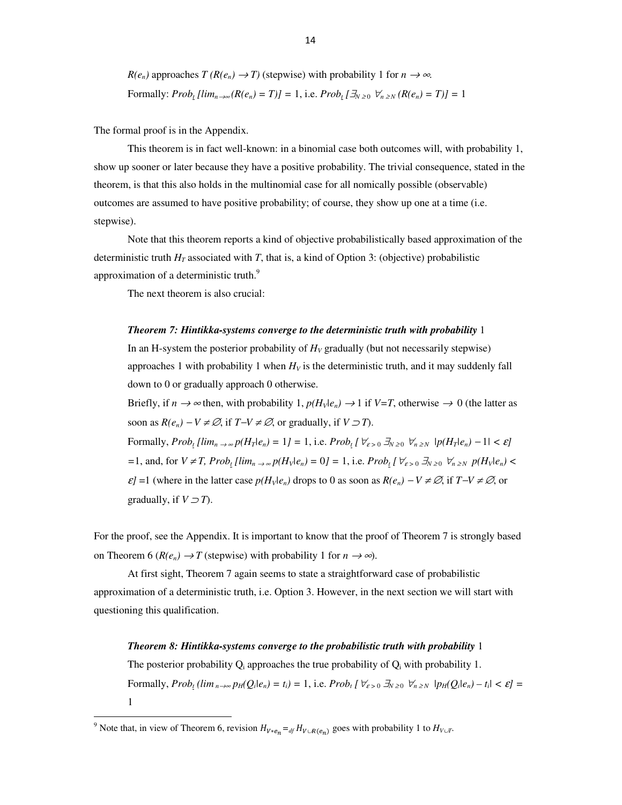$R(e_n)$  approaches  $T(R(e_n) \to T)$  (stepwise) with probability 1 for  $n \to \infty$ . *Formally:*  $Prob_t [lim_{n \to \infty} (R(e_n) = T)] = 1$ *, i.e.*  $Prob_t [\exists_{N \geq 0} \ \forall_{n \geq N} (R(e_n) = T)] = 1$ 

The formal proof is in the Appendix.

This theorem is in fact well-known: in a binomial case both outcomes will, with probability 1, show up sooner or later because they have a positive probability. The trivial consequence, stated in the theorem, is that this also holds in the multinomial case for all nomically possible (observable) outcomes are assumed to have positive probability; of course, they show up one at a time (i.e. stepwise).

Note that this theorem reports a kind of objective probabilistically based approximation of the deterministic truth  $H_T$  associated with *T*, that is, a kind of Option 3: (objective) probabilistic approximation of a deterministic truth.<sup>9</sup>

The next theorem is also crucial:

## *Theorem 7: Hintikka-systems converge to the deterministic truth with probability* 1

In an H-system the posterior probability of  $H_V$  gradually (but not necessarily stepwise) approaches 1 with probability 1 when  $H_V$  is the deterministic truth, and it may suddenly fall down to 0 or gradually approach 0 otherwise.

Briefly, if  $n \to \infty$  then, with probability 1,  $p(H_V|e_n) \to 1$  if  $V=T$ , otherwise  $\to 0$  (the latter as soon as  $R(e_n) - V \neq \emptyset$ , if  $T - V \neq \emptyset$ , or gradually, if  $V \supset T$ ).

Formally,  $Prob_{t}[lim_{n\to\infty}p(H_{T}|e_{n})=1]=1$ , i.e.  $Prob_{t}[ \forall_{\varepsilon>0} \exists_{N\geq0} \forall_{n\geq N} |p(H_{T}|e_{n})-1|<\varepsilon]$ =1, and, for  $V \neq T$ , Prob<sub>1</sub> [lim<sub>n  $\rightarrow \infty$ </sub> p(H<sub>V</sub>|e<sub>n</sub>) = 0] = 1, i.e. Prob<sub>1</sub> [ $\forall_{\varepsilon > 0} \exists_{N \geq 0} \forall_{n \geq N} p(H_v|e_n)$  <  $\varepsilon$ *]* =1 (where in the latter case  $p(H_v|e_n)$  drops to 0 as soon as  $R(e_n) - V \neq \emptyset$ , if  $T - V \neq \emptyset$ , or gradually, if  $V \supset T$ ).

For the proof, see the Appendix. It is important to know that the proof of Theorem 7 is strongly based on Theorem 6 ( $R(e_n) \to T$  (stepwise) with probability 1 for  $n \to \infty$ ).

At first sight, Theorem 7 again seems to state a straightforward case of probabilistic approximation of a deterministic truth, i.e. Option 3. However, in the next section we will start with questioning this qualification.

#### *Theorem 8: Hintikka-systems converge to the probabilistic truth with probability* 1

The posterior probability  $Q_i$  approaches the true probability of  $Q_i$  with probability 1. Formally,  $Prob_{t}(lim_{n\to\infty}p_H(Q_i|e_n)=t_i)=1$ , i.e.  $Prob_{t}[\forall_{\varepsilon>0}\exists_{N\geq0}\forall_{n\geq N}|p_H(Q_i|e_n)-t_i|<\varepsilon]=$ 1

l,

<sup>&</sup>lt;sup>9</sup> Note that, in view of Theorem 6, revision  $H_{V*e_n} =_{df} H_{V \cup R(e_n)}$  goes with probability 1 to  $H_{V \cup T}$ .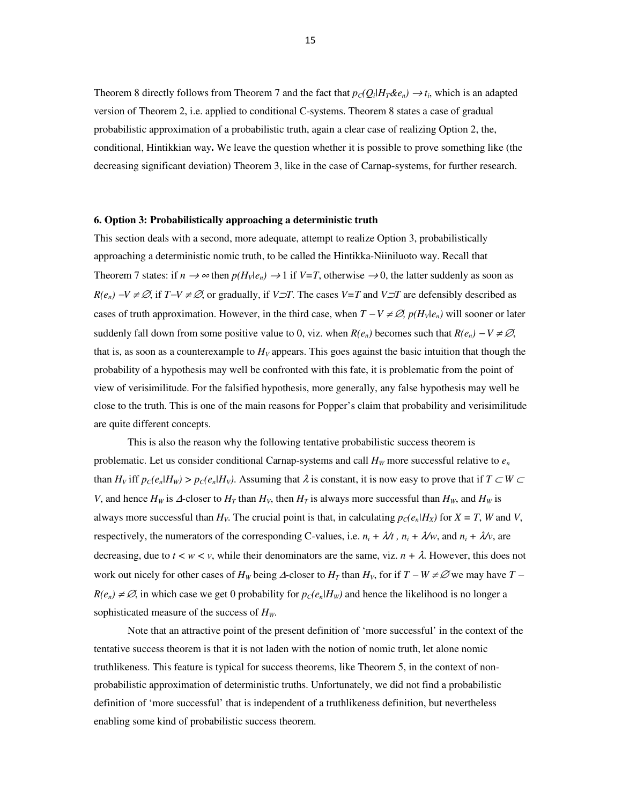Theorem 8 directly follows from Theorem 7 and the fact that  $p_C(Q_i|H_T\&e_n) \to t_i$ , which is an adapted version of Theorem 2, i.e. applied to conditional C-systems. Theorem 8 states a case of gradual probabilistic approximation of a probabilistic truth, again a clear case of realizing Option 2, the, conditional, Hintikkian way**.** We leave the question whether it is possible to prove something like (the decreasing significant deviation) Theorem 3, like in the case of Carnap-systems, for further research.

#### **6. Option 3: Probabilistically approaching a deterministic truth**

This section deals with a second, more adequate, attempt to realize Option 3, probabilistically approaching a deterministic nomic truth, to be called the Hintikka-Niiniluoto way. Recall that Theorem 7 states: if  $n \to \infty$  then  $p(H_v|e_n) \to 1$  if  $V=T$ , otherwise  $\to 0$ , the latter suddenly as soon as *R(e<sub>n</sub>*) −*V* ≠ ∅, if *T*−*V* ≠ ∅, or gradually, if *V*⊃*T*. The cases *V*=*T* and *V*⊃*T* are defensibly described as cases of truth approximation. However, in the third case, when  $T - V \neq \emptyset$ ,  $p(H_v|e_n)$  will sooner or later suddenly fall down from some positive value to 0, viz. when  $R(e_n)$  becomes such that  $R(e_n) - V \neq \emptyset$ , that is, as soon as a counterexample to  $H_V$  appears. This goes against the basic intuition that though the probability of a hypothesis may well be confronted with this fate, it is problematic from the point of view of verisimilitude. For the falsified hypothesis, more generally, any false hypothesis may well be close to the truth. This is one of the main reasons for Popper's claim that probability and verisimilitude are quite different concepts.

This is also the reason why the following tentative probabilistic success theorem is problematic. Let us consider conditional Carnap-systems and call  $H_W$  more successful relative to  $e_n$ than  $H_V$  iff  $p_C(e_n|H_W) > p_C(e_n|H_V)$ . Assuming that  $\lambda$  is constant, it is now easy to prove that if  $T \subset W \subset$ *V*, and hence  $H_W$  is ∆-closer to  $H_T$  than  $H_V$ , then  $H_T$  is always more successful than  $H_W$ , and  $H_W$  is always more successful than  $H_V$ . The crucial point is that, in calculating  $p_C(e_n|H_X)$  for  $X = T$ , *W* and *V*, respectively, the numerators of the corresponding C-values, i.e.  $n_i + \lambda/t$ ,  $n_i + \lambda/w$ , and  $n_i + \lambda/v$ , are decreasing, due to  $t \le w \le v$ , while their denominators are the same, viz.  $n + \lambda$ . However, this does not work out nicely for other cases of  $H_W$  being  $\Delta$ -closer to  $H_T$  than  $H_V$ , for if  $T - W \neq \emptyset$  we may have  $T - W \neq \emptyset$  $R(e_n) \neq \emptyset$ , in which case we get 0 probability for  $p_C(e_n|H_w)$  and hence the likelihood is no longer a sophisticated measure of the success of *HW*.

Note that an attractive point of the present definition of 'more successful' in the context of the tentative success theorem is that it is not laden with the notion of nomic truth, let alone nomic truthlikeness. This feature is typical for success theorems, like Theorem 5, in the context of nonprobabilistic approximation of deterministic truths. Unfortunately, we did not find a probabilistic definition of 'more successful' that is independent of a truthlikeness definition, but nevertheless enabling some kind of probabilistic success theorem.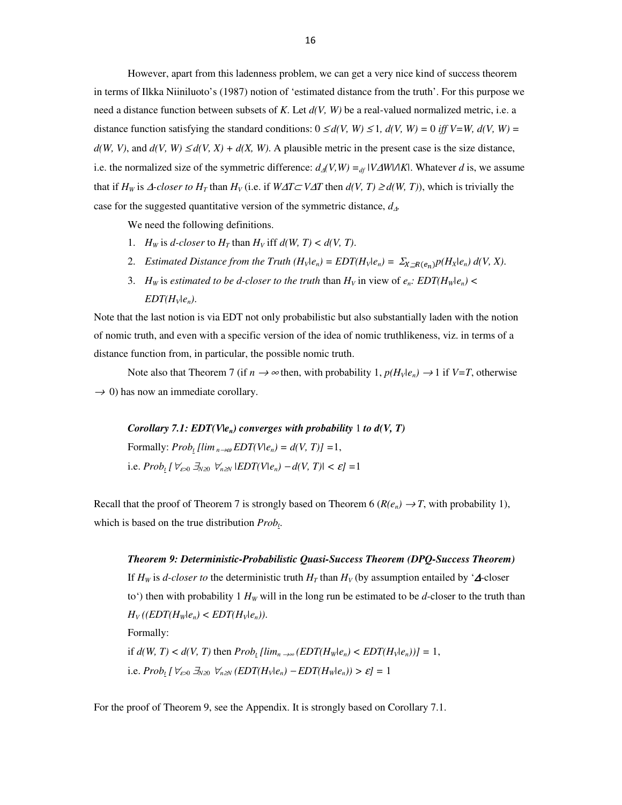However, apart from this ladenness problem, we can get a very nice kind of success theorem in terms of Ilkka Niiniluoto's (1987) notion of 'estimated distance from the truth'. For this purpose we need a distance function between subsets of *K*. Let *d(V, W)* be a real-valued normalized metric, i.e. a distance function satisfying the standard conditions:  $0 \le d(V, W) \le 1$ ,  $d(V, W) = 0$  *iff V=W, d(V, W) =*  $d(W, V)$ , and  $d(V, W) \leq d(V, X) + d(X, W)$ . A plausible metric in the present case is the size distance, i.e. the normalized size of the symmetric difference:  $d_A(V,W) = d_f(V\Delta W)/|K|$ . Whatever *d* is, we assume that if  $H_W$  is  $\triangle$ -closer to  $H_T$  than  $H_V$  (i.e. if  $W\triangle T \subset V\triangle T$  then  $d(V, T) \geq d(W, T)$ ), which is trivially the case for the suggested quantitative version of the symmetric distance, *d*∆*.*

We need the following definitions.

- 1. *H<sub>W</sub>* is *d-closer* to  $H_T$  than  $H_V$  iff  $d(W, T) < d(V, T)$ .
- 2. *Estimated Distance from the Truth*  $(H_v|e_n) = EDT(H_v|e_n) = \sum_{X \supset P(e_n)} p(H_X|e_n) d(V, X)$ .
- 3. *H<sub>W</sub>* is *estimated to be d-closer to the truth* than  $H_V$  in view of  $e_n$ *: EDT(H<sub>W</sub>* $|e_n|$ ) < *EDT* $(H_v|e_n)$ .

Note that the last notion is via EDT not only probabilistic but also substantially laden with the notion of nomic truth, and even with a specific version of the idea of nomic truthlikeness, viz. in terms of a distance function from, in particular, the possible nomic truth.

Note also that Theorem 7 (if  $n \to \infty$  then, with probability 1,  $p(H_1|e_n) \to 1$  if  $V=T$ , otherwise  $\rightarrow$  0) has now an immediate corollary.

*Corollary 7.1: EDT(Vle<sub>n</sub>) converges with probability 1 to*  $d(V, T)$ Formally:  $Prob_t \left[ \lim_{n \to \omega} EDT(V|e_n) = d(V, T) \right] = 1$ , i.e.  $Prob_t [\forall z \in \exists N \ge 0 \ \forall n \ge N \ | EDT(V|e_n) - d(V, T) | < \varepsilon$ ] = 1

Recall that the proof of Theorem 7 is strongly based on Theorem 6 ( $R(e_n) \to T$ , with probability 1), which is based on the true distribution *Prob<sup>t</sup>* .

*Theorem 9: Deterministic-Probabilistic Quasi-Success Theorem (DPQ-Success Theorem)*  If  $H_W$  is *d-closer to* the deterministic truth  $H_T$  than  $H_V$  (by assumption entailed by ' $\Delta$ -closer to') then with probability 1  $H_W$  will in the long run be estimated to be *d*-closer to the truth than  $H_V((EDT(H_w|e_n) < EDT(H_v|e_n)).$ Formally: if  $d(W, T) < d(V, T)$  then  $Prob_t \left[ \lim_{n \to \infty} \left( \frac{EDT(H_w|e_n)}{E} \right) \right] < EDT(H_v|e_n) = 1$ , i.e.  $Prob_t [\forall_{\varepsilon>0} \exists_{N\geq0} \forall_{n\geq N} (EDT(H_V|e_n) - EDT(H_W|e_n)) > \varepsilon] = 1$ 

For the proof of Theorem 9, see the Appendix. It is strongly based on Corollary 7.1.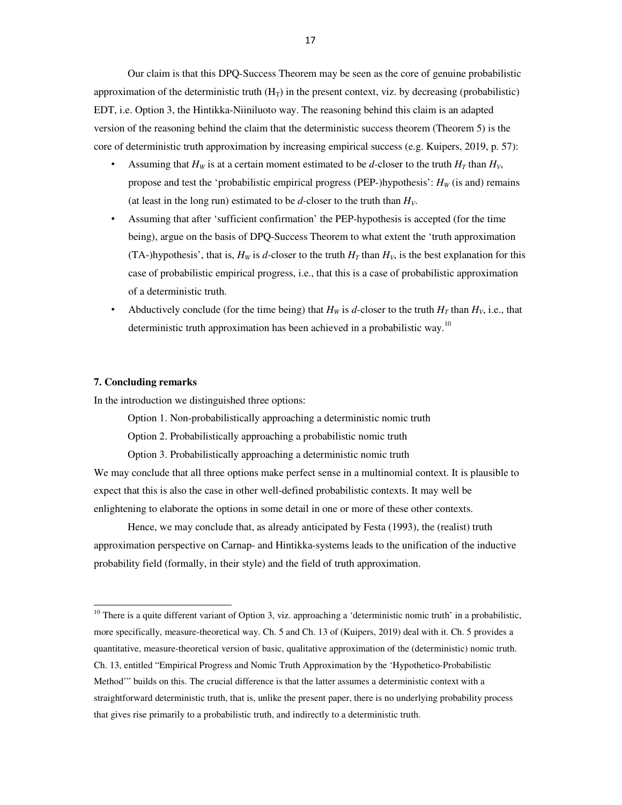Our claim is that this DPQ-Success Theorem may be seen as the core of genuine probabilistic approximation of the deterministic truth  $(H_T)$  in the present context, viz. by decreasing (probabilistic) EDT, i.e. Option 3, the Hintikka-Niiniluoto way. The reasoning behind this claim is an adapted version of the reasoning behind the claim that the deterministic success theorem (Theorem 5) is the core of deterministic truth approximation by increasing empirical success (e.g. Kuipers, 2019, p. 57):

- Assuming that  $H_W$  is at a certain moment estimated to be *d*-closer to the truth  $H_T$  than  $H_V$ , propose and test the 'probabilistic empirical progress (PEP-)hypothesis':  $H_W$  (is and) remains (at least in the long run) estimated to be  $d$ -closer to the truth than  $H_V$ .
- Assuming that after 'sufficient confirmation' the PEP-hypothesis is accepted (for the time being), argue on the basis of DPQ-Success Theorem to what extent the 'truth approximation (TA-)hypothesis', that is,  $H_W$  is *d*-closer to the truth  $H_T$  than  $H_V$ , is the best explanation for this case of probabilistic empirical progress, i.e., that this is a case of probabilistic approximation of a deterministic truth.
- Abductively conclude (for the time being) that  $H_W$  is *d*-closer to the truth  $H_T$  than  $H_V$ , i.e., that deterministic truth approximation has been achieved in a probabilistic way.<sup>10</sup>

### **7. Concluding remarks**

 $\overline{a}$ 

In the introduction we distinguished three options:

Option 1. Non-probabilistically approaching a deterministic nomic truth

Option 2. Probabilistically approaching a probabilistic nomic truth

Option 3. Probabilistically approaching a deterministic nomic truth

We may conclude that all three options make perfect sense in a multinomial context. It is plausible to expect that this is also the case in other well-defined probabilistic contexts. It may well be enlightening to elaborate the options in some detail in one or more of these other contexts.

Hence, we may conclude that, as already anticipated by Festa (1993), the (realist) truth approximation perspective on Carnap- and Hintikka-systems leads to the unification of the inductive probability field (formally, in their style) and the field of truth approximation.

 $10$  There is a quite different variant of Option 3, viz. approaching a 'deterministic nomic truth' in a probabilistic, more specifically, measure-theoretical way. Ch. 5 and Ch. 13 of (Kuipers, 2019) deal with it. Ch. 5 provides a quantitative, measure-theoretical version of basic, qualitative approximation of the (deterministic) nomic truth. Ch. 13, entitled "Empirical Progress and Nomic Truth Approximation by the 'Hypothetico-Probabilistic Method'" builds on this. The crucial difference is that the latter assumes a deterministic context with a straightforward deterministic truth, that is, unlike the present paper, there is no underlying probability process that gives rise primarily to a probabilistic truth, and indirectly to a deterministic truth.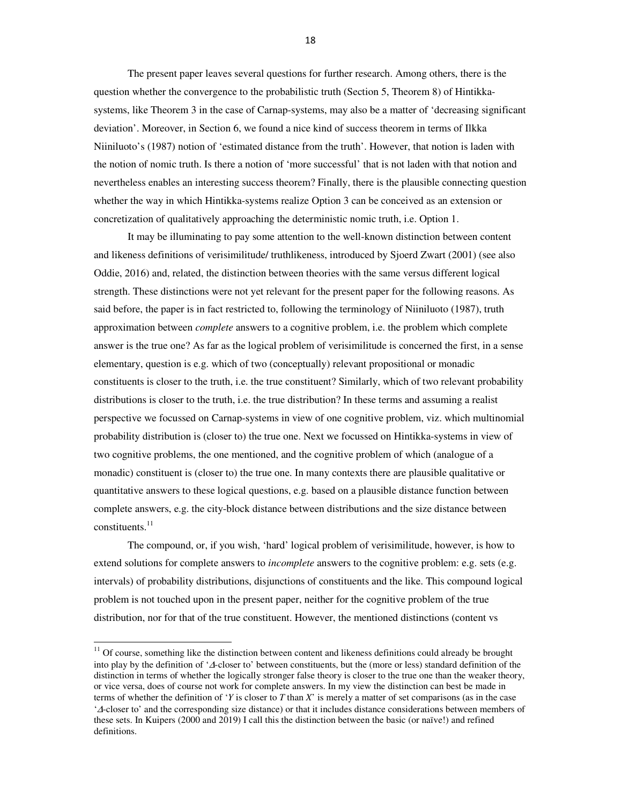The present paper leaves several questions for further research. Among others, there is the question whether the convergence to the probabilistic truth (Section 5, Theorem 8) of Hintikkasystems, like Theorem 3 in the case of Carnap-systems, may also be a matter of 'decreasing significant deviation'. Moreover, in Section 6, we found a nice kind of success theorem in terms of Ilkka Niiniluoto's (1987) notion of 'estimated distance from the truth'. However, that notion is laden with the notion of nomic truth. Is there a notion of 'more successful' that is not laden with that notion and nevertheless enables an interesting success theorem? Finally, there is the plausible connecting question whether the way in which Hintikka-systems realize Option 3 can be conceived as an extension or concretization of qualitatively approaching the deterministic nomic truth, i.e. Option 1.

It may be illuminating to pay some attention to the well-known distinction between content and likeness definitions of verisimilitude/ truthlikeness, introduced by Sjoerd Zwart (2001) (see also Oddie, 2016) and, related, the distinction between theories with the same versus different logical strength. These distinctions were not yet relevant for the present paper for the following reasons. As said before, the paper is in fact restricted to, following the terminology of Niiniluoto (1987), truth approximation between *complete* answers to a cognitive problem, i.e. the problem which complete answer is the true one? As far as the logical problem of verisimilitude is concerned the first, in a sense elementary, question is e.g. which of two (conceptually) relevant propositional or monadic constituents is closer to the truth, i.e. the true constituent? Similarly, which of two relevant probability distributions is closer to the truth, i.e. the true distribution? In these terms and assuming a realist perspective we focussed on Carnap-systems in view of one cognitive problem, viz. which multinomial probability distribution is (closer to) the true one. Next we focussed on Hintikka-systems in view of two cognitive problems, the one mentioned, and the cognitive problem of which (analogue of a monadic) constituent is (closer to) the true one. In many contexts there are plausible qualitative or quantitative answers to these logical questions, e.g. based on a plausible distance function between complete answers, e.g. the city-block distance between distributions and the size distance between constituents.<sup>11</sup>

The compound, or, if you wish, 'hard' logical problem of verisimilitude, however, is how to extend solutions for complete answers to *incomplete* answers to the cognitive problem: e.g. sets (e.g. intervals) of probability distributions, disjunctions of constituents and the like. This compound logical problem is not touched upon in the present paper, neither for the cognitive problem of the true distribution, nor for that of the true constituent. However, the mentioned distinctions (content vs

l,

 $11$  Of course, something like the distinction between content and likeness definitions could already be brought into play by the definition of '∆-closer to' between constituents, but the (more or less) standard definition of the distinction in terms of whether the logically stronger false theory is closer to the true one than the weaker theory, or vice versa, does of course not work for complete answers. In my view the distinction can best be made in terms of whether the definition of '*Y* is closer to *T* than *X*' is merely a matter of set comparisons (as in the case '∆-closer to' and the corresponding size distance) or that it includes distance considerations between members of these sets. In Kuipers (2000 and 2019) I call this the distinction between the basic (or naïve!) and refined definitions.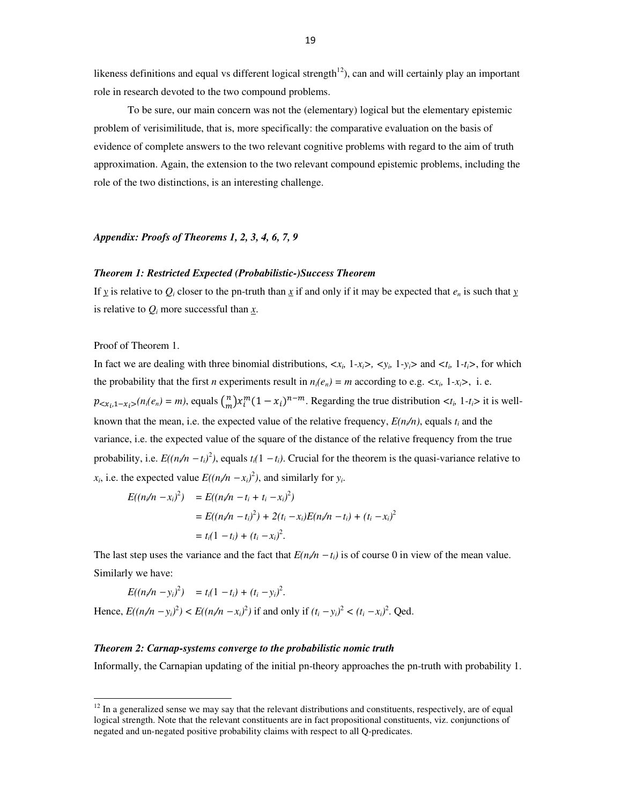likeness definitions and equal vs different logical strength $12$ ), can and will certainly play an important role in research devoted to the two compound problems.

To be sure, our main concern was not the (elementary) logical but the elementary epistemic problem of verisimilitude, that is, more specifically: the comparative evaluation on the basis of evidence of complete answers to the two relevant cognitive problems with regard to the aim of truth approximation. Again, the extension to the two relevant compound epistemic problems, including the role of the two distinctions, is an interesting challenge.

# *Appendix: Proofs of Theorems 1, 2, 3, 4, 6, 7, 9*

# *Theorem 1: Restricted Expected (Probabilistic-)Success Theorem*

If  $y$  is relative to  $Q_i$  closer to the pn-truth than  $\overline{x}$  if and only if it may be expected that  $e_n$  is such that  $y$ is relative to  $Q_i$  more successful than  $\underline{x}$ .

Proof of Theorem 1.

l,

In fact we are dealing with three binomial distributions,  $\langle x_i, 1-x_i \rangle$ ,  $\langle y_i, 1-y_i \rangle$  and  $\langle t_i, 1-t_i \rangle$ , for which the probability that the first *n* experiments result in  $n_i(e_n) = m$  according to e.g.  $\langle x_i, 1-x_i \rangle$ , i.e.  $p_{\langle x_i, 1-x_i \rangle}(n_i(e_n) = m)$ , equals  $\binom{n}{m}$  $\sum_{i=1}^{n} x_i^m (1 - x_i)^{n-m}$ . Regarding the true distribution  $\langle t_i, 1 - t_i \rangle$  it is wellknown that the mean, i.e. the expected value of the relative frequency,  $E(n/n)$ , equals  $t_i$  and the variance, i.e. the expected value of the square of the distance of the relative frequency from the true probability, i.e.  $E((n/n - t_i)^2)$ , equals  $t_i(1 - t_i)$ . Crucial for the theorem is the quasi-variance relative to *x*<sub>*i*</sub>, i.e. the expected value  $E((n/n - x_i)^2)$ , and similarly for *y<sub>i</sub>*.

$$
E((n_{i}/n - x_{i})^{2}) = E((n_{i}/n - t_{i} + t_{i} - x_{i})^{2})
$$
  
= 
$$
E((n_{i}/n - t_{i})^{2}) + 2(t_{i} - x_{i})E(n_{i}/n - t_{i}) + (t_{i} - x_{i})^{2}
$$
  
= 
$$
t_{i}(1 - t_{i}) + (t_{i} - x_{i})^{2}.
$$

The last step uses the variance and the fact that  $E(n/n - t_i)$  is of course 0 in view of the mean value. Similarly we have:

$$
E((n_i/n - y_i)^2) = t_i(1 - t_i) + (t_i - y_i)^2.
$$

Hence,  $E((n/n - y_i)^2) < E((n/n - x_i)^2)$  if and only if  $(t_i - y_i)^2 < (t_i - x_i)^2$ . Qed.

### *Theorem 2: Carnap-systems converge to the probabilistic nomic truth*

Informally, the Carnapian updating of the initial pn-theory approaches the pn-truth with probability 1.

 $12$  In a generalized sense we may say that the relevant distributions and constituents, respectively, are of equal logical strength. Note that the relevant constituents are in fact propositional constituents, viz. conjunctions of negated and un-negated positive probability claims with respect to all Q-predicates.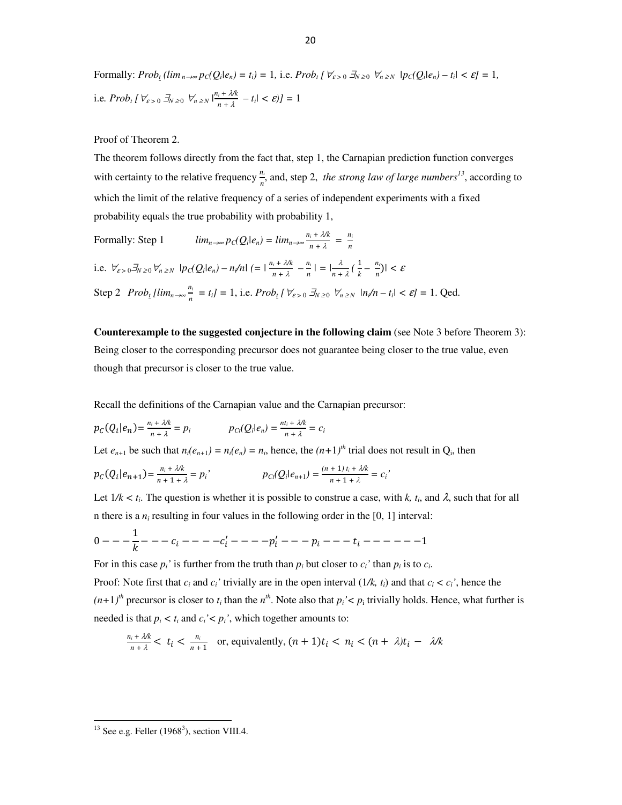Formally:  $Prob_{t}(lim_{n\rightarrow\infty}p_{C}(Q_{i}|e_{n})=t_{i})=1$ , i.e.  $Prob_{t}[\forall_{\varepsilon>0} \exists_{N\geq0} \forall_{n\geq N} |p_{C}(Q_{i}|e_{n})-t_{i}|<\varepsilon]=1$ , i.e.  $Prob_t \left[ \forall \varepsilon > 0 \right] \xrightarrow{\mathcal{J}_N} \sum_{n=1}^n \left| \frac{n_i + \lambda}{n_i + \lambda} \right|$  $\frac{1}{n+\lambda} - t_i < \varepsilon$ ) = 1

Proof of Theorem 2.

The theorem follows directly from the fact that, step 1, the Carnapian prediction function converges with certainty to the relative frequency  $\frac{n_i}{n}$ , and, step 2, *the strong law of large numbers<sup>13</sup>*, according to which the limit of the relative frequency of a series of independent experiments with a fixed probability equals the true probability with probability 1,

Formally: Step 1 
$$
\lim_{n \to \infty} p_C(Q_i|e_n) = \lim_{n \to \infty} \frac{n_i + \lambda/k}{n + \lambda} = \frac{n_i}{n}
$$
  
i.e.  $\forall_{\varepsilon > 0} \exists_{N \ge 0} \forall_{n \ge N} |p_C(Q_i|e_n) - n_i/n| (= |\frac{n_i + \lambda/k}{n + \lambda} - \frac{n_i}{n}| = |\frac{\lambda}{n + \lambda}(\frac{1}{k} - \frac{n_i}{n})| < \varepsilon$   
Step 2  $Prob_l [\lim_{n \to \infty} \frac{n_i}{n} = t_i] = 1$ , i.e.  $Prob_l [\forall_{\varepsilon > 0} \exists_{N \ge 0} \forall_{n \ge N} |n_i/n - t_i| < \varepsilon] = 1$ . Qed.

**Counterexample to the suggested conjecture in the following claim** (see Note 3 before Theorem 3): Being closer to the corresponding precursor does not guarantee being closer to the true value, even though that precursor is closer to the true value.

Recall the definitions of the Carnapian value and the Carnapian precursor:

$$
p_C(Q_i|e_n) = \frac{n_i + \lambda k}{n + \lambda} = p_i \qquad p_{C_i}(Q_i|e_n) = \frac{n_i + \lambda k}{n + \lambda} = c_i
$$

Let  $e_{n+1}$  be such that  $n_i(e_{n+1}) = n_i(e_n) = n_i$ , hence, the  $(n+1)^{th}$  trial does not result in  $Q_i$ , then

$$
p_C(Q_i|e_{n+1}) = \frac{n_i + \lambda k}{n + 1 + \lambda} = p_i' \qquad p_C(Q_i|e_{n+1}) = \frac{(n+1) t_i + \lambda k}{n + 1 + \lambda} = c_i'
$$

Let  $1/k < t_i$ . The question is whether it is possible to construe a case, with *k*,  $t_i$ , and  $\lambda$ , such that for all In there is a  $n_i$  resulting in four values in the following order in the [0, 1] interval:

$$
0---\frac{1}{k}---c_i---c'_i---p'_i---p_i---p_i---t_i------1
$$

For in this case  $p_i'$  is further from the truth than  $p_i$  but closer to  $c_i'$  than  $p_i$  is to  $c_i$ . Proof: Note first that  $c_i$  and  $c_i$ ' trivially are in the open interval  $(1/k, t_i)$  and that  $c_i < c_i'$ , hence the  $(n+1)^{th}$  precursor is closer to  $t_i$  than the  $n^{th}$ . Note also that  $p_i' < p_i$  trivially holds. Hence, what further is needed is that  $p_i < t_i$  and  $c_i' < p_i'$ , which together amounts to:

$$
\frac{n_i + \lambda k}{n + \lambda} < t_i < \frac{n_i}{n + 1} \quad \text{or, equivalently, } (n + 1)t_i < n_i < (n + \lambda)t_i - \lambda/k
$$

l,

 $13$  See e.g. Feller (1968<sup>3</sup>), section VIII.4.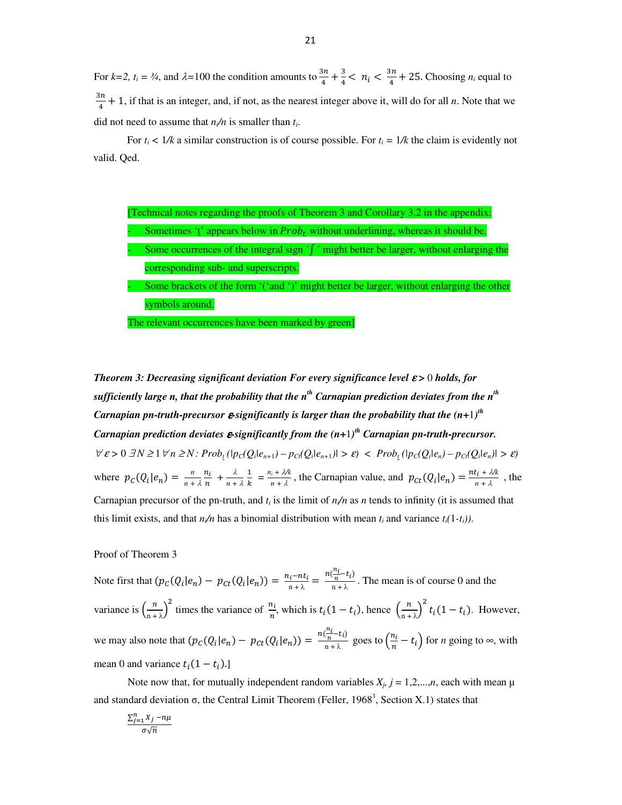For  $k=2$ ,  $t_i = \frac{3}{4}$ , and  $\lambda = 100$  the condition amounts to  $\frac{3n}{4} + \frac{3}{4}$  $\frac{3}{4}$  < n<sub>i</sub> <  $\frac{3n}{4}$  $\frac{n}{4}$  + 25. Choosing *n<sub>i</sub>* equal to  $\frac{3n}{2}$  $\frac{2m}{4} + 1$ , if that is an integer, and, if not, as the nearest integer above it, will do for all *n*. Note that we did not need to assume that  $n/n$  is smaller than  $t_i$ .

For  $t_i < 1/k$  a similar construction is of course possible. For  $t_i = 1/k$  the claim is evidently not valid. Qed.

| [Technical notes regarding the proofs of Theorem 3 and Corollary 3.2 in the appendix: |                                                                                              |
|---------------------------------------------------------------------------------------|----------------------------------------------------------------------------------------------|
|                                                                                       | Sometimes 't' appears below in $Probt$ without underlining, whereas it should be.            |
|                                                                                       | Some occurrences of the integral sign $\int f$ might better be larger, without enlarging the |
|                                                                                       | corresponding sub- and superscripts.                                                         |
|                                                                                       | Some brackets of the form "('and ')' might better be larger, without enlarging the other     |
|                                                                                       | symbols around.                                                                              |
|                                                                                       | The relevant occurrences have been marked by green]                                          |

*Theorem 3: Decreasing significant deviation For every significance level ε* > 0*holds, for sufficiently large n, that the probability that the n th Carnapian prediction deviates from the nth*   $C$ arnapian pn-truth-precursor  $\boldsymbol{\varepsilon}$  significantly is larger than the probability that the  $(n+1)^{th}$ *Carnapian prediction deviates* ε*-significantly from the (n+*1*) th Carnapian pn-truth-precursor.*   $\forall \varepsilon > 0 \ \exists N \geq 1 \ \forall n \geq N : Prob_{t} (|p_{C}(Q_{i}|e_{n+1}) - p_{C}(Q_{i}|e_{n+1})| > \varepsilon) < Prob_{t} (|p_{C}(Q_{i}|e_{n}) - p_{C}(Q_{i}|e_{n})| > \varepsilon)$ where  $p_c(Q_i|e_n) = \frac{n}{n+1}$ *n +* -  $\frac{n_i}{n}$  +  $\frac{\lambda}{n + \lambda}$  $\mathbf{1}$  $\frac{1}{k} = \frac{n_i + \lambda k}{n + \lambda}$  $\frac{n_i + \lambda k}{n + \lambda}$ , the Carnapian value, and  $p_{ct}(Q_i|e_n) = \frac{nt_i + \lambda k}{n + \lambda}$  $\frac{\lambda_1 + \lambda_2}{n + \lambda}$ , the Carnapian precursor of the pn-truth, and  $t_i$  is the limit of  $n/n$  as *n* tends to infinity (it is assumed that this limit exists, and that  $n/n$  has a binomial distribution with mean  $t_i$  and variance  $t_i(1-t_i)$ ).

Proof of Theorem 3

Note first that  $(p_C(Q_i|e_n) - p_{C_t}(Q_i|e_n)) = \frac{n_i - nt_i}{n + \lambda} = \frac{1}{n}$  $n\left(\frac{n_i}{n}-t_i\right)$  $\frac{n}{n+\lambda}$ . The mean is of course 0 and the variance is  $\left(\frac{n}{n+1}\right)$  $\left(\frac{n}{n+1}\right)^2$  times the variance of  $\frac{n_i}{n}$ , which is  $t_i(1-t_i)$ , hence  $\left(\frac{n}{n+1}\right)^2$  $\left(\frac{n}{\ln^2 \lambda}\right)^2 t_i(1-t_i)$ . However, we may also note that  $(p_C(Q_i|e_n) - p_{C_t}(Q_i|e_n)) =$  $n\left(\frac{n_i}{n}-t_i\right)$  $\frac{\overline{n} - t_i}{n + \lambda}$  goes to  $\left(\frac{n_i}{n} - t_i\right)$  for *n* going to  $\infty$ , with mean 0 and variance  $t_i(1-t_i)$ .

Note now that, for mutually independent random variables  $X_j$ ,  $j = 1, 2, \ldots, n$ , each with mean  $\mu$ and standard deviation  $\sigma$ , the Central Limit Theorem (Feller, 1968<sup>3</sup>, Section X.1) states that

$$
\frac{\sum_{j=1}^{n}X_{j}-n\mu}{\sigma\sqrt{n}}
$$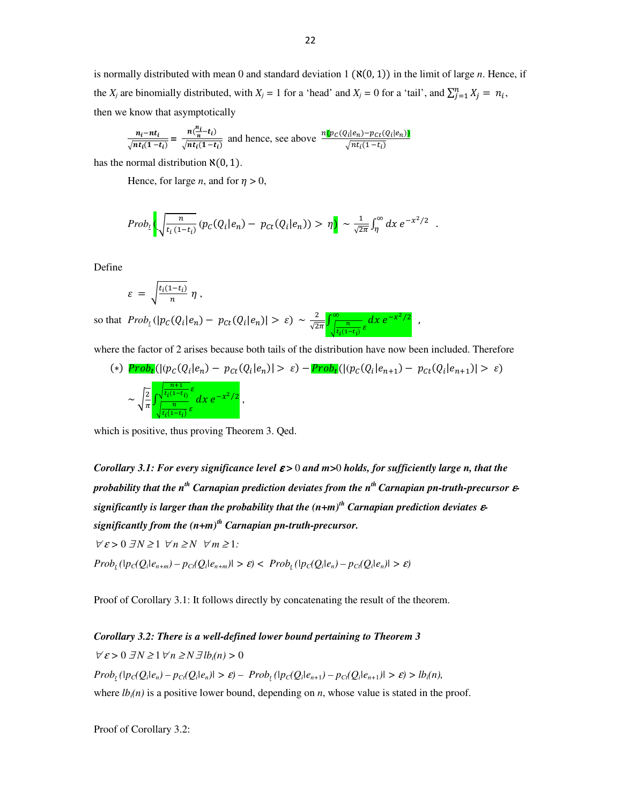is normally distributed with mean 0 and standard deviation  $1 (\aleph(0, 1))$  in the limit of large *n*. Hence, if the *X<sub>j</sub>* are binomially distributed, with *X<sub>j</sub>* = 1 for a 'head' and *X<sub>j</sub>* = 0 for a 'tail', and  $\sum_{j=1}^{n} X_j = n_i$ , then we know that asymptotically

$$
\frac{n_i - nt_i}{\sqrt{nt_i(1-t_i)}} = \frac{n(\frac{n_i}{n} - t_i)}{\sqrt{nt_i(1-t_i)}}
$$
 and hence, see above 
$$
\frac{n[\mathbf{p}_C(Q_i|e_n) - \mathbf{p}_{Ct}(Q_i|e_n)]}{\sqrt{nt_i(1-t_i)}}
$$

has the normal distribution  $\aleph(0, 1)$ .

Hence, for large *n*, and for  $\eta > 0$ ,

$$
Prob_t\left(\sqrt{\frac{n}{t_i\left(1-t_i\right)}}\left(p_c(Q_i|e_n)-p_{ct}(Q_i|e_n)\right)>\eta\right) \sim \frac{1}{\sqrt{2\pi}}\int_{\eta}^{\infty}dx\ e^{-x^2/2}.
$$

Define

$$
\varepsilon = \sqrt{\frac{t_i(1-t_i)}{n}} \eta ,
$$

so that  $Prob_{i}(|p_{C}(Q_{i}|e_{n}) - p_{Ct}(Q_{i}|e_{n})| > \varepsilon) \sim \frac{2}{\sqrt{2\pi}} \int_{\frac{R_{i}(Q_{i}-e_{n})}{\sqrt{2\pi}}}^{\infty} dx e^{-x^{2}/2}$  $\frac{n}{t}$  $\frac{n}{t_i(1-t_i)} \varepsilon dx e^{-x^2/2}$ ,

where the factor of 2 arises because both tails of the distribution have now been included. Therefore

(\*) 
$$
\text{Prob}_{t}(|(p_{C}(Q_{i}|e_{n}) - p_{Ct}(Q_{i}|e_{n})| > \varepsilon) - \text{Prob}_{t}(|(p_{C}(Q_{i}|e_{n+1}) - p_{Ct}(Q_{i}|e_{n+1})| > \varepsilon)
$$
  

$$
\sim \sqrt{\frac{2}{\pi}} \int_{\frac{1}{t_{i}(1-t_{i})}\varepsilon}^{\frac{n+1}{t_{i}(1-t_{i})}\varepsilon} dx e^{-x^{2}/2},
$$

which is positive, thus proving Theorem 3. Qed.

*Corollary 3.1: For every significance level ε* > 0 *and m* > 0 *holds, for sufficiently large n, that the probability that the nth Carnapian prediction deviates from the nth Carnapian pn-truth-precursor* ε*significantly is larger than the probability that the (n+m)th Carnapian prediction deviates* ε*significantly from the (n+m)th Carnapian pn-truth-precursor.*   $\forall \varepsilon > 0 \ \exists N \geq 1 \ \forall n \geq N \ \forall m \geq 1$ :  $Prob_{t}(|p_{C}(Q_i|e_{n+m}) - p_{C}(Q_i|e_{n+m})| > \varepsilon) < Prob_{t}(|p_{C}(Q_i|e_n) - p_{C}(Q_i|e_n)| > \varepsilon)$ 

Proof of Corollary 3.1: It follows directly by concatenating the result of the theorem.

# *Corollary 3.2: There is a well-defined lower bound pertaining to Theorem 3*

 $\forall \varepsilon > 0 \ \exists N \geq 1 \ \forall n \geq N \ \exists l b_i(n) > 0$  $Prob_{t}(|p_C(Q_i|e_n) - p_{Ct}(Q_i|e_n)| > \varepsilon) - Prob_{t}(|p_C(Q_i|e_{n+1}) - p_{Ct}(Q_i|e_{n+1})| > \varepsilon) > lb_i(n),$ where  $lb_i(n)$  is a positive lower bound, depending on *n*, whose value is stated in the proof.

Proof of Corollary 3.2: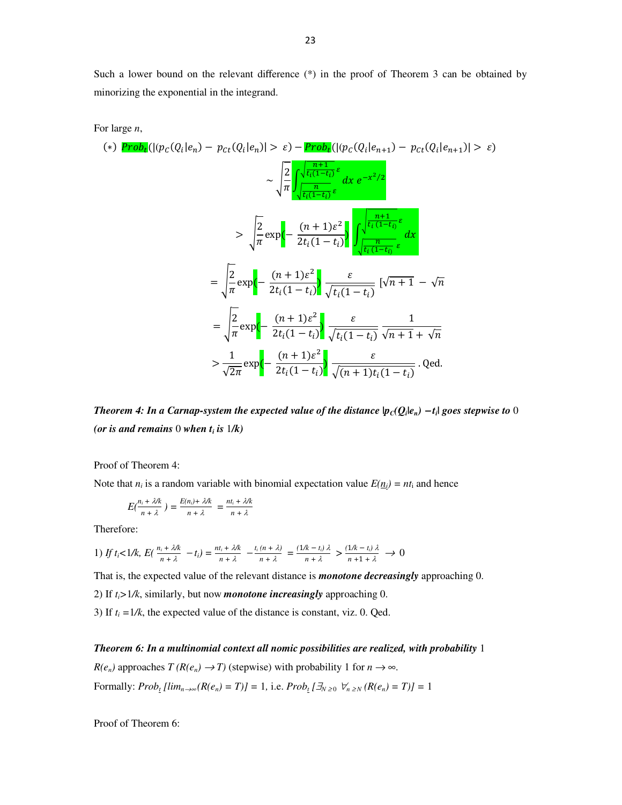Such a lower bound on the relevant difference (\*) in the proof of Theorem 3 can be obtained by minorizing the exponential in the integrand.

For large *n*,

$$
(*)\ \frac{\operatorname{Prob}_{t}(|(p_{C}(Q_{i}|e_{n})-p_{Ct}(Q_{i}|e_{n})|>\varepsilon)-\operatorname{Prob}_{t}(|(p_{C}(Q_{i}|e_{n+1})-p_{Ct}(Q_{i}|e_{n+1})|>\varepsilon)}{\sqrt{\pi}}\n\qquad \qquad \times \sqrt{\frac{2}{\pi} \int_{\sqrt{t_{i}(1-t_{i})}\varepsilon}^{\sqrt{\frac{n+1}{t_{i}(1-t_{i})}\varepsilon}} dx} e^{-x^{2}/2}\n\qquad \qquad \times \sqrt{\frac{2}{\pi}} \exp\left(-\frac{(n+1)\varepsilon^{2}}{2t_{i}(1-t_{i})}\right) \int_{\sqrt{t_{i}(1-t_{i})}\varepsilon}^{\sqrt{\frac{n+1}{t_{i}(1-t_{i})}\varepsilon}} dx\n\qquad\n= \sqrt{\frac{2}{\pi}} \exp\left(-\frac{(n+1)\varepsilon^{2}}{2t_{i}(1-t_{i})}\right) \frac{\varepsilon}{\sqrt{t_{i}(1-t_{i})}} [\sqrt{n+1}-\sqrt{n}\n\qquad\n= \sqrt{\frac{2}{\pi}} \exp\left(-\frac{(n+1)\varepsilon^{2}}{2t_{i}(1-t_{i})}\right) \frac{\varepsilon}{\sqrt{t_{i}(1-t_{i})}} \frac{1}{\sqrt{n+1} + \sqrt{n}}\n\qquad\n> \frac{1}{\sqrt{2\pi}} \exp\left(-\frac{(n+1)\varepsilon^{2}}{2t_{i}(1-t_{i})}\right) \frac{\varepsilon}{\sqrt{(n+1)t_{i}(1-t_{i})}} \cdot \operatorname{Qed}.
$$

*Theorem 4: In a Carnap-system the expected value of the distance*  $|p_C(Q_i|e_n) - t_i|$  *goes stepwise to* 0 *(or is and remains* 0 *when t<sup>i</sup> is* 1*/k)*

Proof of Theorem 4:

Note that  $n_i$  is a random variable with binomial expectation value  $E(\underline{n_i}) = nt_i$  and hence

$$
E(\frac{n_i + \lambda/k}{n + \lambda}) = \frac{E(n_i) + \lambda/k}{n + \lambda} = \frac{nt_i + \lambda/k}{n + \lambda}
$$

Therefore:

1) *If t<sub>i</sub>*<1/k,  $E(\frac{n_i + \lambda}{n_i})$  $\frac{n_i + \lambda}{n_i + \lambda} - t_i$  =  $\frac{nt_i + \lambda}{n_i + \lambda}$  $\frac{t_i + \lambda}{n + \lambda}$   $-\frac{t_i(n + \lambda)}{n + \lambda}$  $\frac{(n + \lambda)}{n + \lambda} = \frac{(1/k - t_i)\lambda}{n + \lambda} > \frac{(1/k - t_i)\lambda}{n + 1 + \lambda} \to 0$ 

That is, the expected value of the relevant distance is *monotone decreasingly* approaching 0.

2) If *ti>*1*/k*, similarly, but now *monotone increasingly* approaching 0.

3) If  $t_i = 1/k$ , the expected value of the distance is constant, viz. 0. Qed.

*Theorem 6: In a multinomial context all nomic possibilities are realized, with probability* 1

 $R(e_n)$  approaches  $T(R(e_n) \to T)$  (stepwise) with probability 1 for  $n \to \infty$ . *Formally:*  $Prob_t [lim_{n \to \infty} (R(e_n) = T)] = 1$ *, i.e.*  $Prob_t [\exists_{N \geq 0} \ \forall_{n \geq N} (R(e_n) = T)] = 1$ 

Proof of Theorem 6: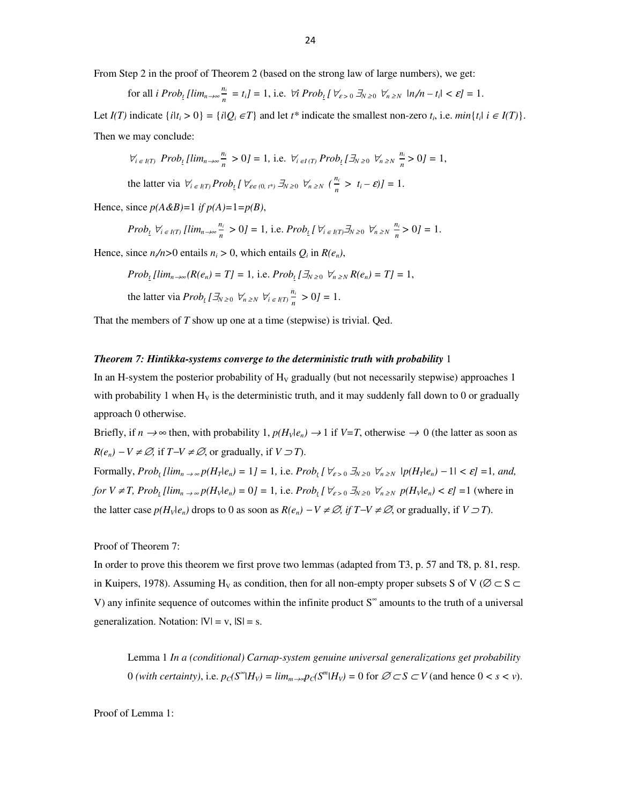From Step 2 in the proof of Theorem 2 (based on the strong law of large numbers), we get:

for all 
$$
i \text{ Prob}_t \left[ \lim_{n \to \infty} \frac{n_i}{n} = t_i \right] = 1
$$
, i.e.  $\forall i \text{ Prob}_t \left[ \forall_{\varepsilon > 0} \, \exists_{N \ge 0} \, \forall_{n \ge N} \, |n/n - t_i| < \varepsilon \right] = 1$ .

Let  $I(T)$  indicate  $\{i|t_i > 0\} = \{i|Q_i \in T\}$  and let  $t^*$  indicate the smallest non-zero  $t_i$ , i.e.  $min\{t_i | i \in I(T)\}$ . Then we may conclude:

$$
\forall_{i\in I(T)}\ Prob_{t}[lim_{n\rightarrow\infty}\frac{n_{i}}{n}>0]=1,\ \text{i.e.}\ \forall_{i\in I(T)}\ Prob_{t}[\exists_{N\geq0}\ \forall_{n\geq N}\ \frac{n_{i}}{n}>0]=1,
$$

the latter via  $\forall i \in I(T) \; Prob_{\underline{t}} \left[ \; \forall_{\varepsilon \in (0, t^*)} \; \exists N \geq 0 \; \forall n \geq N \; (\frac{n_i}{n} > t_i - \varepsilon) \right] = 1.$ 

Hence, since  $p(A \& B)=1$  if  $p(A)=1=p(B)$ ,

$$
Prob_{\underline{t}} \ \forall_{i \in I(T)} \ [lim_{n \to \infty} \frac{n_i}{n} > 0] = 1, \ \text{i.e.} \ Prob_{\underline{t}} \left[ \ \forall_{i \in I(T)} \exists_{N \ge 0} \ \forall_{n \ge N} \ \frac{n_i}{n} > 0 \right] = 1.
$$

Hence, since  $n/n > 0$  entails  $n_i > 0$ , which entails  $Q_i$  in  $R(e_n)$ ,

*Prob*<sub>1</sub> 
$$
\lim_{n \to \infty} (R(e_n) = T] = 1
$$
, i.e.  $Prob_t \left[ \exists_{N \geq 0} \ \forall_{n \geq N} R(e_n) = T \right] = 1$ ,

the latter via  $Prob_t[\exists N \geq 0 \; \forall n \geq N \; \forall i \in I(T) \frac{n_i}{n_i}$  $\frac{n_i}{n} > 0$ *]* = 1.

That the members of *T* show up one at a time (stepwise) is trivial. Qed.

#### *Theorem 7: Hintikka-systems converge to the deterministic truth with probability* 1

In an H-system the posterior probability of  $H<sub>V</sub>$  gradually (but not necessarily stepwise) approaches 1 with probability 1 when  $H_V$  is the deterministic truth, and it may suddenly fall down to 0 or gradually approach 0 otherwise.

Briefly, if  $n \to \infty$  then, with probability 1,  $p(H_V|e_n) \to 1$  if  $V=T$ , otherwise  $\to 0$  (the latter as soon as *R*(*e<sub>n</sub>*) − *V* ≠ ∅, if *T*−*V* ≠ ∅, or gradually, if *V* ⊃ *T*).

Formally,  $Prob_{t}[\lim_{n\to\infty}p(H_{T}|e_{n})=1]=1$ , i.e.  $Prob_{t}[\forall_{\varepsilon>0}\exists_{N\geq0}\forall_{n\geq N}|p(H_{T}|e_{n})-1|<\varepsilon]=1$ , and, for  $V \neq T$ , Prob<sub>1</sub> [lim<sub>n  $\rightarrow \infty$ </sub> p(H<sub>V</sub>|e<sub>n</sub>) = 0] = 1, i.e. Prob<sub>1</sub> [ $\forall_{\varepsilon > 0} \exists_{N \geq 0} \forall_{n \geq N} p(H_v|e_n) < \varepsilon$ ] (where in the latter case  $p(H_v|e_n)$  drops to 0 as soon as  $R(e_n) - V \neq \emptyset$ , if  $T - V \neq \emptyset$ , or gradually, if  $V \supset T$ ).

Proof of Theorem 7:

In order to prove this theorem we first prove two lemmas (adapted from T3, p. 57 and T8, p. 81, resp. in Kuipers, 1978). Assuming H<sub>V</sub> as condition, then for all non-empty proper subsets S of V ( $\emptyset \subset S \subset$ V) any infinite sequence of outcomes within the infinite product S<sup>∞</sup> amounts to the truth of a universal generalization. Notation:  $|V| = v$ ,  $|S| = s$ .

Lemma 1 *In a (conditional) Carnap-system genuine universal generalizations get probability*  0 (with certainty), i.e.  $p_C(S^{\infty} | H_V) = \lim_{m \to \infty} p_C(S^m | H_V) = 0$  for  $\emptyset \subset S \subset V$  (and hence  $0 < s < v$ ).

Proof of Lemma 1: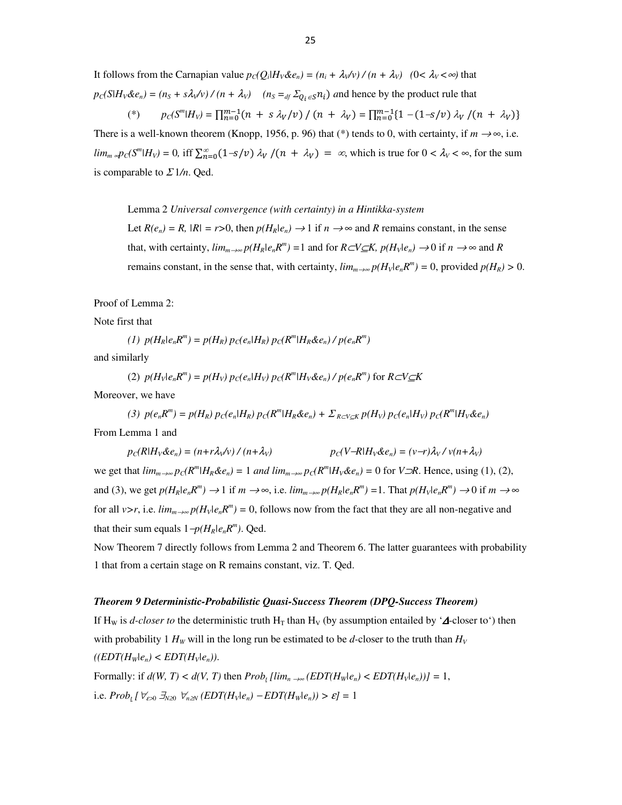It follows from the Carnapian value  $p_C(Q_i|H_V\&e_n) = (n_i + \lambda_V/v)/(n + \lambda_V)$  (0<  $\lambda_V < \infty$ ) that  $p_c(S|H_V \& e_n) = (n_S + s\lambda_V \lor) / (n + \lambda_V)$   $(n_S =_{df} \Sigma_{Q_i \in S} n_i)$  and hence by the product rule that

$$
(*) \qquad p_C(S^m|H_V) = \prod_{n=0}^{m-1} (n + s \lambda_V/v) / (n + \lambda_V) = \prod_{n=0}^{m-1} \{1 - (1 - s/v) \lambda_V / (n + \lambda_V)\}
$$

There is a well-known theorem (Knopp, 1956, p. 96) that (\*) tends to 0, with certainty, if  $m \rightarrow \infty$ , i.e.  $\lim_{m \to \infty} p_C(S^m | H_V) = 0$ , iff  $\sum_{n=0}^{\infty} (1 - s/v) \lambda_V/(n + \lambda_V) = \infty$ , which is true for  $0 < \lambda_V < \infty$ , for the sum is comparable to  $\Sigma 1/n$ . Qed.

Lemma 2 *Universal convergence (with certainty) in a Hintikka-system*

Let  $R(e_n) = R$ ,  $|R| = r > 0$ , then  $p(H_R|e_n) \rightarrow 1$  if  $n \rightarrow \infty$  and  $R$  remains constant, in the sense that, with certainty,  $\lim_{m\to\infty} p(H_R|e_nR^m) = 1$  and for  $R\subset V\subseteq K$ ,  $p(H_V|e_n) \to 0$  if  $n \to \infty$  and R remains constant, in the sense that, with certainty,  $\lim_{m\to\infty} p(H_v|e_nR^m) = 0$ , provided  $p(H_R) > 0$ .

Proof of Lemma 2:

Note first that

(1) 
$$
p(H_R|e_nR^m) = p(H_R) p_C(e_n|H_R) p_C(R^m|H_R \& e_n) / p(e_nR^m)
$$

and similarly

(2) 
$$
p(H_v|e_n R^m) = p(H_v) p_c(e_n|H_v) p_c(R^m|H_v \& e_n) / p(e_n R^m)
$$
 for  $R \subset V \subseteq K$ 

Moreover, we have

(3) 
$$
p(e_n R^m) = p(H_R) p_C(e_n | H_R) p_C(R^m | H_R \& e_n) + \sum_{R \subset V \subseteq K} p(H_V) p_C(e_n | H_V) p_C(R^m | H_V \& e_n)
$$

From Lemma 1 and

$$
p_C(R|H_V \& e_n) = (n + r\lambda_V/v) / (n + \lambda_V) \qquad p_C(V - R|H_V \& e_n) = (v - r)\lambda_V / v(n + \lambda_V)
$$

we get that  $\lim_{m\to\infty} p_C(R^m|H_R\&e_n) = 1$  and  $\lim_{m\to\infty} p_C(R^m|H_V\&e_n) = 0$  for  $V\supset R$ . Hence, using (1), (2), and (3), we get  $p(H_R|e_nR^m) \to 1$  if  $m \to \infty$ , i.e.  $\lim_{m \to \infty} p(H_R|e_nR^m) = 1$ . That  $p(H_V|e_nR^m) \to 0$  if  $m \to \infty$ for all *v>r*, i.e.  $\lim_{m\to\infty} p(H_v|e_nR^m) = 0$ , follows now from the fact that they are all non-negative and that their sum equals  $1-p(H_R|e_nR^m)$ . Qed.

Now Theorem 7 directly follows from Lemma 2 and Theorem 6. The latter guarantees with probability 1 that from a certain stage on R remains constant, viz. T. Qed.

#### *Theorem 9 Deterministic-Probabilistic Quasi-Success Theorem (DPQ-Success Theorem)*

If H<sub>W</sub> is *d-closer to* the deterministic truth H<sub>T</sub> than H<sub>V</sub> (by assumption entailed by ' $\Delta$ -closer to') then with probability 1  $H_W$  will in the long run be estimated to be *d*-closer to the truth than  $H_V$  $((EDT(H_w|e_n) < EDT(H_v|e_n))$ . Formally: if  $d(W, T) < d(V, T)$  then  $Prob_t \left[ \lim_{n \to \infty} \left( \frac{EDT(H_w|e_n)}{E(T(H_w|e_n))} \right) \right] = 1$ ,

i.e.  $Prob_t[\forall_{\varepsilon>0} \exists_{N\geq 0} \forall_{n\geq N} (EDT(H_V|e_n) - EDT(H_W|e_n)) > \varepsilon] = 1$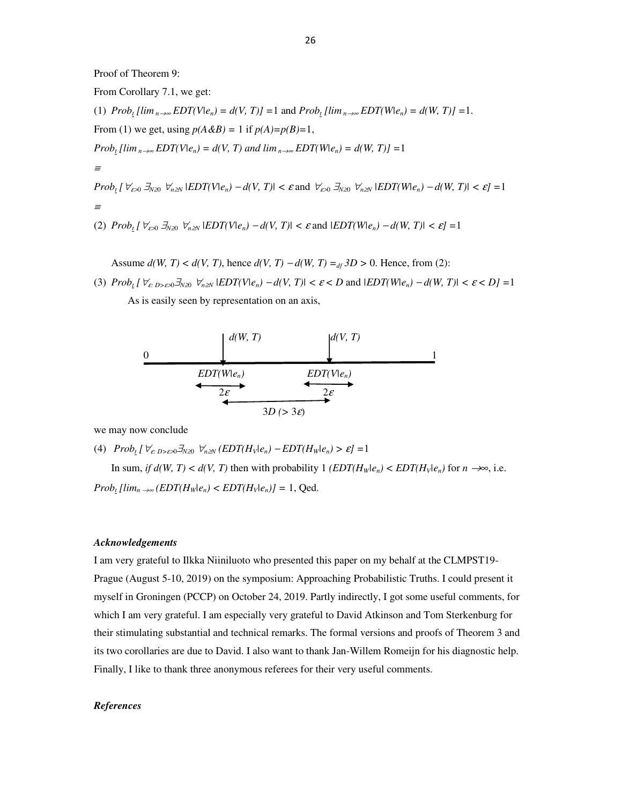Proof of Theorem 9:

From Corollary 7.1, we get: (1)  $Prob_t \left[ \lim_{n \to \infty} EDT(V|e_n) = d(V, T) \right] = 1$  and  $Prob_t \left[ \lim_{n \to \infty} EDT(W|e_n) = d(W, T) \right] = 1$ . From (1) we get, using  $p(A\&B) = 1$  if  $p(A)=p(B)=1$ , *Prob*<sub>*t*</sub> [lim<sub>*n*→∞</sub>*EDT*(*V*|*e<sub>n</sub>*) = *d*(*V, T*) *and lim*<sub>*n→∞</sub><i>EDT*(*W*|*e<sub>n</sub>*) = *d*(*W, T*)] =1</sub> ≡ $Prob_t [ \forall_{\varepsilon>0} \exists_{N\ge0} \forall_{n\ge N} |EDT(V|e_n) - d(V, T)| < \varepsilon$  and  $\forall_{\varepsilon>0} \exists_{N\ge0} \forall_{n\ge N} |EDT(W|e_n) - d(W, T)| < \varepsilon] = 1$ ≡(2)  $Prob_t [ \forall \varepsilon \in \mathcal{A} \cup \mathcal{A} \cup \mathcal{A}]$   $\forall n \geq N}$   $|EDT(V|e_n) - d(V, T)| < \varepsilon$  and  $|EDT(W|e_n) - d(W, T)| < \varepsilon$ ]

Assume  $d(W, T) < d(V, T)$ , hence  $d(V, T) - d(W, T) =_{df} 3D > 0$ . Hence, from (2):

(3)  $Prob_t [ \forall \epsilon \text{ is odd}, \forall \tau \text{ is odd}, \forall \tau \text{ is odd} \} = d(V, T) \{ \epsilon \in D \text{ and } \exists \text{EDT(W(e_n) - d(W, T)} \} \le \epsilon \le D \} = 1$ As is easily seen by representation on an axis,



we may now conclude

(4)  $Prob_t [V_{\varepsilon D > \varepsilon > 0} \exists_{N \geq 0} V_{n \geq N} (EDT(H_V | e_n) - EDT(H_W | e_n) > \varepsilon] = 1$ 

In sum, *if d(W, T)* <  $d(V, T)$  then with probability 1 *(EDT(H<sub>W</sub>* $|e_n\rangle$  < *EDT(H<sub>V</sub>* $|e_n\rangle$ ) for  $n \rightarrow \infty$ , i.e.  $Prob_t \left[ \lim_{n \to \infty} \left( \frac{EDT(H_w|e_n)}{E_n} \right) \right] = 1$ , Qed.

# *Acknowledgements*

I am very grateful to Ilkka Niiniluoto who presented this paper on my behalf at the CLMPST19- Prague (August 5-10, 2019) on the symposium: Approaching Probabilistic Truths. I could present it myself in Groningen (PCCP) on October 24, 2019. Partly indirectly, I got some useful comments, for which I am very grateful. I am especially very grateful to David Atkinson and Tom Sterkenburg for their stimulating substantial and technical remarks. The formal versions and proofs of Theorem 3 and its two corollaries are due to David. I also want to thank Jan-Willem Romeijn for his diagnostic help. Finally, I like to thank three anonymous referees for their very useful comments.

#### *References*